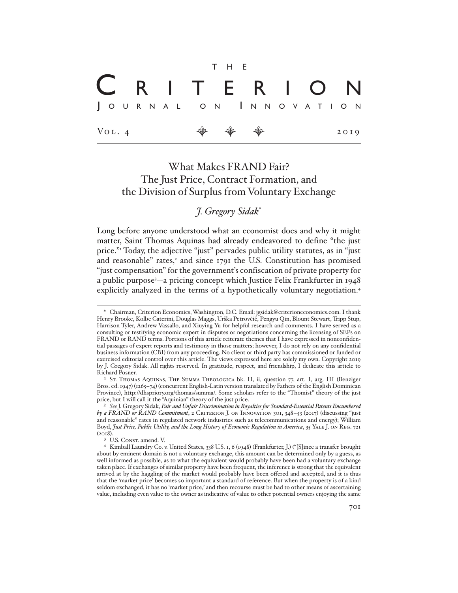|                     |  |  |  |                       |  | T H E                                                                |  |  |  |  |  |  |  |      |  |
|---------------------|--|--|--|-----------------------|--|----------------------------------------------------------------------|--|--|--|--|--|--|--|------|--|
| CRITERION           |  |  |  |                       |  |                                                                      |  |  |  |  |  |  |  |      |  |
|                     |  |  |  | JOURNAL ON INNOVATION |  |                                                                      |  |  |  |  |  |  |  |      |  |
| $V_{\text{OL}}$ . 4 |  |  |  |                       |  | $\begin{array}{ccccccccccccc} \psi & \psi & \psi & \psi \end{array}$ |  |  |  |  |  |  |  | 2019 |  |

# What Makes FRAND Fair? The Just Price, Contract Formation, and the Division of Surplus from Voluntary Exchange

*J. Gregory Sidak*\*

Long before anyone understood what an economist does and why it might matter, Saint Thomas Aquinas had already endeavored to define "the just price."1 Today, the adjective "just" pervades public utility statutes, as in "just and reasonable" rates,<sup>2</sup> and since 1791 the U.S. Constitution has promised "just compensation" for the government's confiscation of private property for a public purpose3 —a pricing concept which Justice Felix Frankfurter in 1948 explicitly analyzed in the terms of a hypothetically voluntary negotiation.<sup>4</sup>

<sup>\*</sup> Chairman, Criterion Economics, Washington, D.C. Email: jgsidak@criterioneconomics.com. I thank Henry Brooke, Kolbe Caterini, Douglas Maggs, Urška Petrovčič, Pengyu Qin, Blount Stewart, Tripp Stup, Harrison Tyler, Andrew Vassallo, and Xiuying Yu for helpful research and comments. I have served as a consulting or testifying economic expert in disputes or negotiations concerning the licensing of SEPs on FRAND or RAND terms. Portions of this article reiterate themes that I have expressed in nonconfidential passages of expert reports and testimony in those matters; however, I do not rely on any confidential business information (CBI) from any proceeding. No client or third party has commissioned or funded or exercised editorial control over this article. The views expressed here are solely my own. Copyright 2019 by J. Gregory Sidak. All rights reserved. In gratitude, respect, and friendship, I dedicate this article to Richard Posner.

<sup>&</sup>lt;sup>1</sup> St. Thomas Aquinas, The Summa Theologica bk. II, ii, question 77, art. I, arg. III (Benziger Bros. ed. 1947) (1265–74) (concurrent English-Latin version translated by Fathers of the English Dominican Province), http://dhspriory.org/thomas/summa/. Some scholars refer to the "Thomist" theory of the just price, but I will call it the "Aquinian" theory of the just price.

<sup>2</sup> *See* J. Gregory Sidak, *Fair and Unfair Discrimination in Royalties for Standard-Essential Patents Encumbered by a FRAND or RAND Commitment*, 2 Criterion J. on Innovation 301, 348–53 (2017) (discussing "just and reasonable" rates in regulated network industries such as telecommunications and energy); William Boyd, *Just Price, Public Utility, and the Long History of Economic Regulation in America*, 35 Yale J. on Reg. 721  $(2018)$ .

<sup>&</sup>lt;sup>3</sup> U.S. CONST. amend. V.

<sup>4</sup> Kimball Laundry Co. v. United States, 338 U.S. 1, 6 (1948) (Frankfurter, J.) ("[S]ince a transfer brought about by eminent domain is not a voluntary exchange, this amount can be determined only by a guess, as well informed as possible, as to what the equivalent would probably have been had a voluntary exchange taken place. If exchanges of similar property have been frequent, the inference is strong that the equivalent arrived at by the haggling of the market would probably have been offered and accepted, and it is thus that the 'market price' becomes so important a standard of reference. But when the property is of a kind seldom exchanged, it has no 'market price,' and then recourse must be had to other means of ascertaining value, including even value to the owner as indicative of value to other potential owners enjoying the same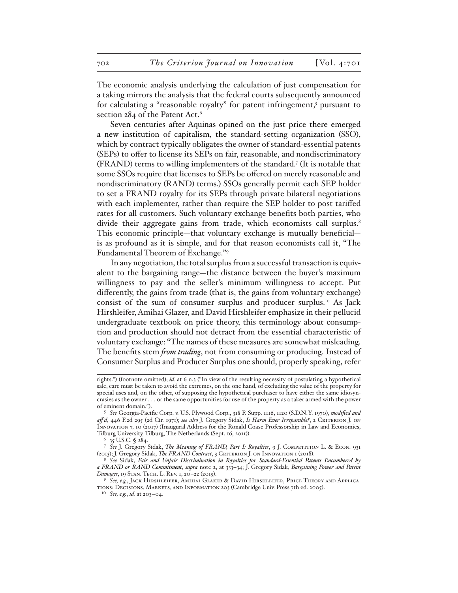The economic analysis underlying the calculation of just compensation for a taking mirrors the analysis that the federal courts subsequently announced for calculating a "reasonable royalty" for patent infringement,<sup>5</sup> pursuant to section 284 of the Patent Act.<sup>6</sup>

Seven centuries after Aquinas opined on the just price there emerged a new institution of capitalism, the standard-setting organization (SSO), which by contract typically obligates the owner of standard-essential patents (SEPs) to offer to license its SEPs on fair, reasonable, and nondiscriminatory (FRAND) terms to willing implementers of the standard.7 (It is notable that some SSOs require that licenses to SEPs be offered on merely reasonable and nondiscriminatory (RAND) terms.) SSOs generally permit each SEP holder to set a FRAND royalty for its SEPs through private bilateral negotiations with each implementer, rather than require the SEP holder to post tariffed rates for all customers. Such voluntary exchange benefits both parties, who divide their aggregate gains from trade, which economists call surplus.<sup>8</sup> This economic principle—that voluntary exchange is mutually beneficial is as profound as it is simple, and for that reason economists call it, "The Fundamental Theorem of Exchange."9

In any negotiation, the total surplus from a successful transaction is equivalent to the bargaining range—the distance between the buyer's maximum willingness to pay and the seller's minimum willingness to accept. Put differently, the gains from trade (that is, the gains from voluntary exchange) consist of the sum of consumer surplus and producer surplus.10 As Jack Hirshleifer, Amihai Glazer, and David Hirshleifer emphasize in their pellucid undergraduate textbook on price theory, this terminology about consumption and production should not detract from the essential characteristic of voluntary exchange: "The names of these measures are somewhat misleading. The benefits stem *from trading*, not from consuming or producing. Instead of Consumer Surplus and Producer Surplus one should, properly speaking, refer

rights.") (footnote omitted); *id.* at 6 n.3 ("In view of the resulting necessity of postulating a hypothetical sale, care must be taken to avoid the extremes, on the one hand, of excluding the value of the property for special uses and, on the other, of supposing the hypothetical purchaser to have either the same idiosyncrasies as the owner . . . or the same opportunities for use of the property as a taker armed with the power of eminent domain.").

<sup>5</sup> *See* Georgia-Pacific Corp. v. U.S. Plywood Corp., 318 F. Supp. 1116, 1120 (S.D.N.Y. 1970), *modified and aff 'd*, 446 F.2d 295 (2d Cir. 1971); *see also* J. Gregory Sidak, *Is Harm Ever Irreparable?*, 2 Criterion J. on Innovation 7, 10 (2017) (Inaugural Address for the Ronald Coase Professorship in Law and Economics, Tilburg University, Tilburg, The Netherlands (Sept. 16, 2011)).

<sup>6</sup> 35 U.S.C. § 284.

<sup>7</sup> *See* J. Gregory Sidak, *The Meaning of FRAND, Part I: Royalties*, 9 J. Competition L. & Econ. 931 (2013); J. Gregory Sidak, *The FRAND Contract*, 3 Criterion J. on Innovation 1 (2018).

<sup>8</sup> *See* Sidak, *Fair and Unfair Discrimination in Royalties for Standard-Essential Patents Encumbered by a FRAND or RAND Commitment*, *supra* note 2, at 333–34; J. Gregory Sidak, *Bargaining Power and Patent Damages*, 19 Stan. Tech. L. Rev. 1, 20–22 (2015).

<sup>9</sup> *See, e.g.*, Jack Hirshleifer, Amihai Glazer & David Hirshleifer, Price Theory and Applications: Decisions, Markets, and Information 203 (Cambridge Univ. Press 7th ed. 2005).

<sup>10</sup> *See, e.g.*, *id.* at 203–04.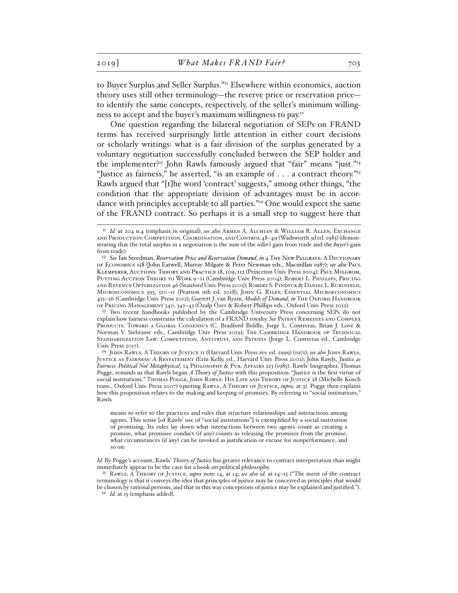to Buyer Surplus and Seller Surplus."11 Elsewhere within economics, auction theory uses still other terminology—the reserve price or reservation price to identify the same concepts, respectively, of the seller's minimum willingness to accept and the buyer's maximum willingness to pay.12

One question regarding the bilateral negotiation of SEPs on FRAND terms has received surprisingly little attention in either court decisions or scholarly writings: what is a fair division of the surplus generated by a voluntary negotiation successfully concluded between the SEP holder and the implementer?<sup>13</sup> John Rawls famously argued that "fair" means "just."<sup>14</sup> "Justice as fairness," he asserted, "is an example of . . . a contract theory."<sup>15</sup> Rawls argued that "[t]he word 'contract' suggests," among other things, "the condition that the appropriate division of advantages must be in accordance with principles acceptable to all parties."16 One would expect the same of the FRAND contract. So perhaps it is a small step to suggest here that

13 Two recent handbooks published by the Cambridge University Press concerning SEPs do not explain how fairness constrains the calculation of a FRAND royalty. See PATENT REMEDIES AND COMPLEX PRODUCTS: TOWARD A GLOBAL CONSENSUS (C. Bradford Biddle, Jorge L. Contreras, Brian J. Love & Norman V. Siebrasse eds., Cambridge Univ. Press 2019); The Cambridge Handbook of Technical Standardization Law: Competition, Antitrust, and Patents (Jorge L. Contreras ed., Cambridge Univ. Press 2017).

14 John Rawls, A Theory of Justice 11 (Harvard Univ. Press rev. ed. 1999) (1971); *see also* John Rawls, Justice as Fairness: A Restatement (Erin Kelly, ed., Harvard Univ. Press 2001); John Rawls, *Justice as Fairness: Political Not Metaphysical*, 14 Philosophy & Pub. Affairs 223 (1985). Rawls' biographer, Thomas Pogge, reminds us that Rawls began *A Theory of Justice* with this proposition: "Justice is the first virtue of social institutions." Thomas Pogge, John Rawls: His Life and Theory of Justice 28 (Michelle Kosch trans., Oxford Univ. Press 2007) (quoting Rawls, A Theory of Justice, *supra*, at 3). Pogge then explains how this proposition relates to the making and keeping of promises. By referring to "social institutions," Rawls

means to refer to the practices and rules that structure relationships and interactions among agents. This sense [of Rawls' use of "social institutions"] is exemplified by a social institution of promising. Its rules lay down what interactions between two agents count as creating a promise, what promisee conduct (if any) counts as releasing the promisor from the promise, what circumstances (if any) can be invoked as justification or excuse for nonperformance, and so on.

*Id.* By Pogge's account, Rawls' *Theory of Justice* has greater relevance to contract interpretation than might immediately appear to be the case for a book on political philosophy.

15 Rawls, A Theory of Justice, *supra* note 14, at 14; *see also id.* at 14–15 ("The merit of the contract terminology is that it conveys the idea that principles of justice may be conceived as principles that would be chosen by rational persons, and that in this way conceptions of justice may be explained and justified."). <sup>16</sup> *Id.* at 15 (emphasis added).

<sup>11</sup> *Id.* at 204 n.4 (emphasis in original); *see also* Armen A. Alchian & William R. Allen, Exchange and Production: Competition, Coordination, and Control 48–49 (Wadsworth 3d ed. 1983) (demonstrating that the total surplus in a negotiation is the sum of the *seller's* gain from trade and the *buyer's* gain from trade).

<sup>&</sup>lt;sup>12</sup> See Ian Steedman, *Reservation Price and Reservation Demand*, *in* 4 THE NEW PALGRAVE: A DICTIONARY of Economics 158 (John Eatwell, Murray Milgate & Peter Newman eds., Macmillan 1987); *see also* Paul Klemperer, Auctions: Theory and Practice 18, 109, 112 (Princeton Univ. Press 2004); Paul Milgrom, Putting Auction Theory to Work 9–11 (Cambridge Univ. Press 2004); Robert L. Phillips, Pricing and Revenue Optimization 46 (Stanford Univ. Press 2005); Robert S. Pindyck & Daniel L. Rubinfeld, Microeconomics 393, 510–11 (Pearson 9th ed. 2018); John G. Riley, Essential Microeconomics 451-56 (Cambridge Univ. Press 2012); Garrett J. van Ryzin, *Models of Demand*, *in* THE OXFORD HANDBOOK of Pricing Management 340, 342–43 (Özalp Özer & Robert Phillips eds., Oxford Univ. Press 2012).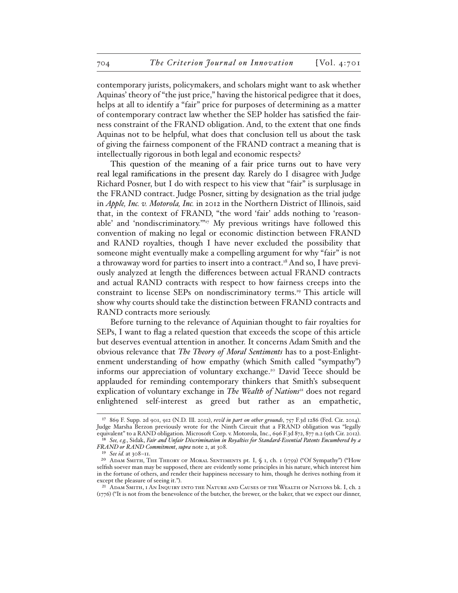contemporary jurists, policymakers, and scholars might want to ask whether Aquinas' theory of "the just price," having the historical pedigree that it does, helps at all to identify a "fair" price for purposes of determining as a matter of contemporary contract law whether the SEP holder has satisfied the fairness constraint of the FRAND obligation. And, to the extent that one finds Aquinas not to be helpful, what does that conclusion tell us about the task of giving the fairness component of the FRAND contract a meaning that is intellectually rigorous in both legal and economic respects?

This question of the meaning of a fair price turns out to have very real legal ramifications in the present day. Rarely do I disagree with Judge Richard Posner, but I do with respect to his view that "fair" is surplusage in the FRAND contract. Judge Posner, sitting by designation as the trial judge in *Apple, Inc. v. Motorola, Inc.* in 2012 in the Northern District of Illinois, said that, in the context of FRAND, "the word 'fair' adds nothing to 'reasonable' and 'nondiscriminatory.'"17 My previous writings have followed this convention of making no legal or economic distinction between FRAND and RAND royalties, though I have never excluded the possibility that someone might eventually make a compelling argument for why "fair" is not a throwaway word for parties to insert into a contract.<sup>18</sup> And so, I have previously analyzed at length the differences between actual FRAND contracts and actual RAND contracts with respect to how fairness creeps into the constraint to license SEPs on nondiscriminatory terms.<sup>19</sup> This article will show why courts should take the distinction between FRAND contracts and RAND contracts more seriously.

Before turning to the relevance of Aquinian thought to fair royalties for SEPs, I want to flag a related question that exceeds the scope of this article but deserves eventual attention in another. It concerns Adam Smith and the obvious relevance that *The Theory of Moral Sentiments* has to a post-Enlightenment understanding of how empathy (which Smith called "sympathy") informs our appreciation of voluntary exchange.<sup>20</sup> David Teece should be applauded for reminding contemporary thinkers that Smith's subsequent explication of voluntary exchange in *The Wealth of Nations*<sup>21</sup> does not regard enlightened self-interest as greed but rather as an empathetic,

<sup>17</sup> 869 F. Supp. 2d 901, 912 (N.D. Ill. 2012), *rev'd in part on other grounds*, 757 F.3d 1286 (Fed. Cir. 2014). Judge Marsha Berzon previously wrote for the Ninth Circuit that a FRAND obligation was "legally equivalent" to a RAND obligation. Microsoft Corp. v. Motorola, Inc., 696 F.3d 872, 877 n.2 (9th Cir. 2012). 18 *See, e.g.*, Sidak, *Fair and Unfair Discrimination in Royalties for Standard-Essential Patents Encumbered by a* 

*FRAND or RAND Commitment*, *supra* note 2, at 308.

<sup>19</sup> *See id.* at 308–11.

<sup>20</sup> Adam Smith, The Theory of Moral Sentiments pt. I, § 1, ch. 1 (1759) ("Of Sympathy") ("How selfish soever man may be supposed, there are evidently some principles in his nature, which interest him in the fortune of others, and render their happiness necessary to him, though he derives nothing from it except the pleasure of seeing it.").

<sup>21</sup> Adam Smith, 1 An Inquiry into the Nature and Causes of the Wealth of Nations bk. I, ch. 2  $(1776)$  ("It is not from the benevolence of the butcher, the brewer, or the baker, that we expect our dinner,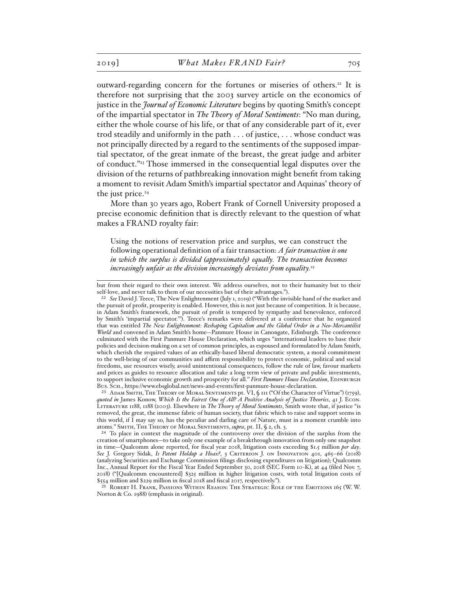outward-regarding concern for the fortunes or miseries of others.22 It is therefore not surprising that the 2003 survey article on the economics of justice in the *Journal of Economic Literature* begins by quoting Smith's concept of the impartial spectator in *The Theory of Moral Sentiments*: "No man during, either the whole course of his life, or that of any considerable part of it, ever trod steadily and uniformly in the path . . . of justice, . . . whose conduct was not principally directed by a regard to the sentiments of the supposed impartial spectator, of the great inmate of the breast, the great judge and arbiter of conduct."23 Those immersed in the consequential legal disputes over the division of the returns of pathbreaking innovation might benefit from taking a moment to revisit Adam Smith's impartial spectator and Aquinas' theory of the just price.<sup>24</sup>

More than 30 years ago, Robert Frank of Cornell University proposed a precise economic definition that is directly relevant to the question of what makes a FRAND royalty fair:

Using the notions of reservation price and surplus, we can construct the following operational definition of a fair transaction: *A fair transaction is one in which the surplus is divided (approximately) equally. The transaction becomes increasingly unfair as the division increasingly deviates from equality.*<sup>25</sup>

but from their regard to their own interest. We address ourselves, not to their humanity but to their self-love, and never talk to them of our necessities but of their advantages.").

<sup>22</sup> *See* David J. Teece, The New Enlightenment (July 1, 2019) ("With the invisible hand of the market and the pursuit of profit, prosperity is enabled. However, this is not just because of competition. It is because, in Adam Smith's framework, the pursuit of profit is tempered by sympathy and benevolence, enforced by Smith's 'impartial spectator.'"). Teece's remarks were delivered at a conference that he organized that was entitled *The New Enlightenment: Reshaping Capitalism and the Global Order in a Neo-Mercantilist World* and convened in Adam Smith's home—Panmure House in Canongate, Edinburgh. The conference culminated with the First Panmure House Declaration, which urges "international leaders to base their policies and decision-making on a set of common principles, as espoused and formulated by Adam Smith, which cherish the required values of an ethically-based liberal democratic system, a moral commitment to the well-being of our communities and affirm responsibility to protect economic, political and social freedoms, use resources wisely, avoid unintentional consequences, follow the rule of law, favour markets and prices as guides to resource allocation and take a long term view of private and public investments, to support inclusive economic growth and prosperity for all." *First Panmure House Declaration*, EDINBURGH Bus. Sch., https://www.ebsglobal.net/news-and-events/first-panmure-house-declaration.

<sup>&</sup>lt;sup>23</sup> ADAM SMITH, THE THEORY OF MORAL SENTIMENTS pt. VI, § 111 ("Of the Character of Virtue") (1759), *quoted in* James Konow, *Which Is the Fairest One of All? A Positive Analysis of Justice Theories*, 41 J. Econ. Literature 1188, 1188 (2003). Elsewhere in *The Theory of Moral Sentiments*, Smith wrote that, if justice "is removed, the great, the immense fabric of human society, that fabric which to raise and support seems in this world, if I may say so, has the peculiar and darling care of Nature, must in a moment crumble into atoms." Smith, The Theory of Moral Sentiments, *supra*, pt. II, § 2, ch. 3.

<sup>&</sup>lt;sup>24</sup> To place in context the magnitude of the controversy over the division of the surplus from the creation of smartphones—to take only one example of a breakthrough innovation from only one snapshot in time—Qualcomm alone reported, for fiscal year 2018, litigation costs exceeding \$1.5 million *per day*. *See* J. Gregory Sidak, *Is Patent Holdup a Hoax?*, 3 Criterion J. on Innovation 401, 465–66 (2018) (analyzing Securities and Exchange Commission filings disclosing expenditures on litigation); Qualcomm Inc., Annual Report for the Fiscal Year Ended September 30, 2018 (SEC Form 10-K), at 44 (filed Nov. 7, 2018) ("[Qualcomm encountered] \$325 million in higher litigation costs, with total litigation costs of \$554 million and \$229 million in fiscal 2018 and fiscal 2017, respectively.").

<sup>25</sup> Robert H. Frank, Passions Within Reason: The Strategic Role of the Emotions 165 (W. W. Norton & Co. 1988) (emphasis in original).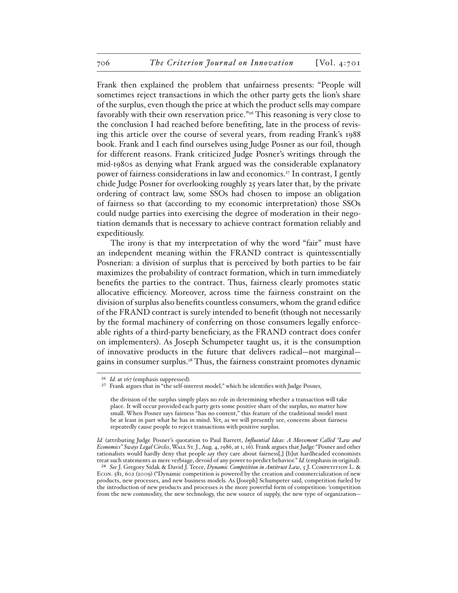Frank then explained the problem that unfairness presents: "People will sometimes reject transactions in which the other party gets the lion's share of the surplus, even though the price at which the product sells may compare favorably with their own reservation price."26 This reasoning is very close to the conclusion I had reached before benefiting, late in the process of revising this article over the course of several years, from reading Frank's 1988 book. Frank and I each find ourselves using Judge Posner as our foil, though for different reasons. Frank criticized Judge Posner's writings through the mid-1980s as denying what Frank argued was the considerable explanatory power of fairness considerations in law and economics.27 In contrast, I gently chide Judge Posner for overlooking roughly 25 years later that, by the private ordering of contract law, some SSOs had chosen to impose an obligation of fairness so that (according to my economic interpretation) those SSOs could nudge parties into exercising the degree of moderation in their negotiation demands that is necessary to achieve contract formation reliably and expeditiously.

The irony is that my interpretation of why the word "fair" must have an independent meaning within the FRAND contract is quintessentially Posnerian: a division of surplus that is perceived by both parties to be fair maximizes the probability of contract formation, which in turn immediately benefits the parties to the contract. Thus, fairness clearly promotes static allocative efficiency. Moreover, across time the fairness constraint on the division of surplus also benefits countless consumers, whom the grand edifice of the FRAND contract is surely intended to benefit (though not necessarily by the formal machinery of conferring on those consumers legally enforceable rights of a third-party beneficiary, as the FRAND contract does confer on implementers). As Joseph Schumpeter taught us, it is the consumption of innovative products in the future that delivers radical—not marginal gains in consumer surplus.28 Thus, the fairness constraint promotes dynamic

<sup>26</sup> *Id.* at 167 (emphasis suppressed).

<sup>27</sup> Frank argues that in "the self-interest model," which he identifies with Judge Posner,

the division of the surplus simply plays no role in determining whether a transaction will take place. It will occur provided each party gets some positive share of the surplus, no matter how small. When Posner says fairness "has no content," this feature of the traditional model must be at least in part what he has in mind. Yet, as we will presently see, concerns about fairness repeatedly cause people to reject transactions with positive surplus.

*Id.* (attributing Judge Posner's quotation to Paul Barrett, *Influential Ideas: A Movement Called "Law and Economics" Sways Legal Circles*, Wall St. J., Aug. 4, 1986, at 1, 16). Frank argues that Judge "Posner and other rationalists would hardly deny that people *say* they care about fairness[,] [b]ut hardheaded economists treat such statements as mere verbiage, devoid of any power to predict behavior." *Id.* (emphasis in original).

<sup>28</sup> *See* J. Gregory Sidak & David J. Teece, *Dynamic Competition in Antitrust Law*, 5 J. Competition L. & Econ. 581, 602 (2009) ("Dynamic competition is powered by the creation and commercialization of new products, new processes, and new business models. As [Joseph] Schumpeter said, competition fueled by the introduction of new products and processes is the more powerful form of competition: 'competition from the new commodity, the new technology, the new source of supply, the new type of organization—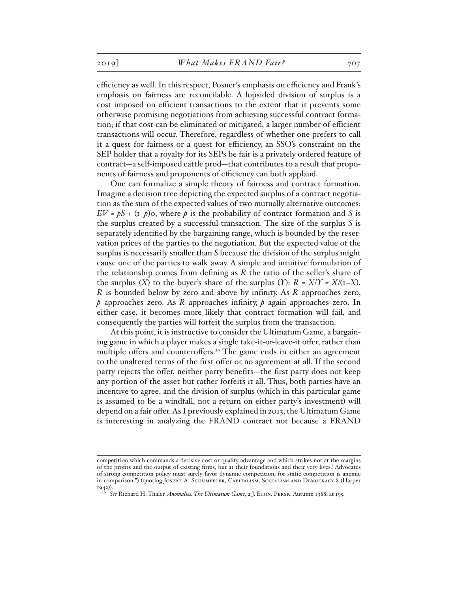efficiency as well. In this respect, Posner's emphasis on efficiency and Frank's emphasis on fairness are reconcilable. A lopsided division of surplus is a cost imposed on efficient transactions to the extent that it prevents some otherwise promising negotiations from achieving successful contract formation; if that cost can be eliminated or mitigated, a larger number of efficient transactions will occur. Therefore, regardless of whether one prefers to call it a quest for fairness or a quest for efficiency, an SSO's constraint on the SEP holder that a royalty for its SEPs be fair is a privately ordered feature of contract—a self-imposed cattle prod—that contributes to a result that proponents of fairness and proponents of efficiency can both applaud.

One can formalize a simple theory of fairness and contract formation. Imagine a decision tree depicting the expected surplus of a contract negotiation as the sum of the expected values of two mutually alternative outcomes:  $EV = pS + (I-p)O$ , where *p* is the probability of contract formation and *S* is the surplus created by a successful transaction. The size of the surplus *S* is separately identified by the bargaining range, which is bounded by the reservation prices of the parties to the negotiation. But the expected value of the surplus is necessarily smaller than *S* because the division of the surplus might cause one of the parties to walk away. A simple and intuitive formulation of the relationship comes from defining as *R* the ratio of the seller's share of the surplus  $(X)$  to the buyer's share of the surplus  $(Y)$ :  $R = X/Y = X/(I-X)$ . *R* is bounded below by zero and above by infinity. As *R* approaches zero, *p* approaches zero. As *R* approaches infinity, *p* again approaches zero. In either case, it becomes more likely that contract formation will fail, and consequently the parties will forfeit the surplus from the transaction.

At this point, it is instructive to consider the Ultimatum Game, a bargaining game in which a player makes a single take-it-or-leave-it offer, rather than multiple offers and counteroffers.<sup>29</sup> The game ends in either an agreement to the unaltered terms of the first offer or no agreement at all. If the second party rejects the offer, neither party benefits—the first party does not keep any portion of the asset but rather forfeits it all. Thus, both parties have an incentive to agree, and the division of surplus (which in this particular game is assumed to be a windfall, not a return on either party's investment) will depend on a fair offer. As I previously explained in 2013, the Ultimatum Game is interesting in analyzing the FRAND contract not because a FRAND

competition which commands a decisive cost or quality advantage and which strikes not at the margins of the profits and the output of existing firms, but at their foundations and their very lives.' Advocates of strong competition policy must surely favor dynamic competition, for static competition is anemic in comparison.") (quoting Joseph A. Schumpeter, Capitalism, Socialism and Democracy 8 (Harper 1942)).

<sup>29</sup> *See* Richard H. Thaler, *Anomalies: The Ultimatum Game*, 2 J. Econ. Persp., Autumn 1988, at 195.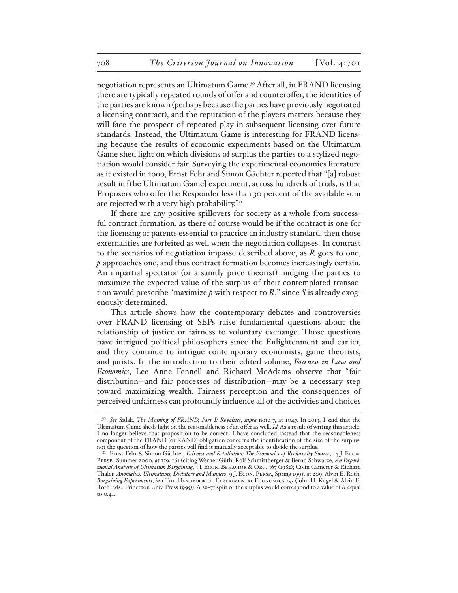negotiation represents an Ultimatum Game.30 After all, in FRAND licensing there are typically repeated rounds of offer and counteroffer, the identities of the parties are known (perhaps because the parties have previously negotiated a licensing contract), and the reputation of the players matters because they will face the prospect of repeated play in subsequent licensing over future standards. Instead, the Ultimatum Game is interesting for FRAND licensing because the results of economic experiments based on the Ultimatum Game shed light on which divisions of surplus the parties to a stylized negotiation would consider fair. Surveying the experimental economics literature as it existed in 2ooo, Ernst Fehr and Simon Gächter reported that "[a] robust result in [the Ultimatum Game] experiment, across hundreds of trials, is that Proposers who offer the Responder less than 30 percent of the available sum are rejected with a very high probability."31

If there are any positive spillovers for society as a whole from successful contract formation, as there of course would be if the contract is one for the licensing of patents essential to practice an industry standard, then those externalities are forfeited as well when the negotiation collapses. In contrast to the scenarios of negotiation impasse described above, as *R* goes to one, *p* approaches one, and thus contract formation becomes increasingly certain. An impartial spectator (or a saintly price theorist) nudging the parties to maximize the expected value of the surplus of their contemplated transaction would prescribe "maximize  $p$  with respect to  $R$ ," since  $S$  is already exogenously determined.

This article shows how the contemporary debates and controversies over FRAND licensing of SEPs raise fundamental questions about the relationship of justice or fairness to voluntary exchange. Those questions have intrigued political philosophers since the Enlightenment and earlier, and they continue to intrigue contemporary economists, game theorists, and jurists. In the introduction to their edited volume, *Fairness in Law and Economics*, Lee Anne Fennell and Richard McAdams observe that "fair distribution—and fair processes of distribution—may be a necessary step toward maximizing wealth. Fairness perception and the consequences of perceived unfairness can profoundly influence all of the activities and choices

<sup>30</sup> *See* Sidak, *The Meaning of FRAND, Part I: Royalties*, *supra* note 7, at 1047. In 2013, I said that the Ultimatum Game sheds light on the reasonableness of an offer as well. *Id.* As a result of writing this article, I no longer believe that proposition to be correct; I have concluded instead that the reasonableness component of the FRAND (or RAND) obligation concerns the identification of the size of the surplus, not the question of how the parties will find it mutually acceptable to divide the surplus.

<sup>31</sup> Ernst Fehr & Simon Gächter, *Fairness and Retaliation: The Economics of Reciprocity Source*, 14 J. Econ. Persp., Summer 2000, at 159, 161 (citing Werner Güth, Rolf Schmittberger & Bernd Schwarze, *An Experimental Analysis of Ultimatum Bargaining*, 3 J. Econ. Behavior & Org. 367 (1982); Colin Camerer & Richard Thaler, *Anomalies: Ultimatums, Dictators and Manners*, 9 J. Econ. Persp., Spring 1995, at 209; Alvin E. Roth, *Bargaining Experiments*, *in* 1 The Handbook of Experimental Economics 253 (John H. Kagel & Alvin E. Roth eds., Princeton Univ. Press 1995)). A 29-71 split of the surplus would correspond to a value of *R* equal to 0.41.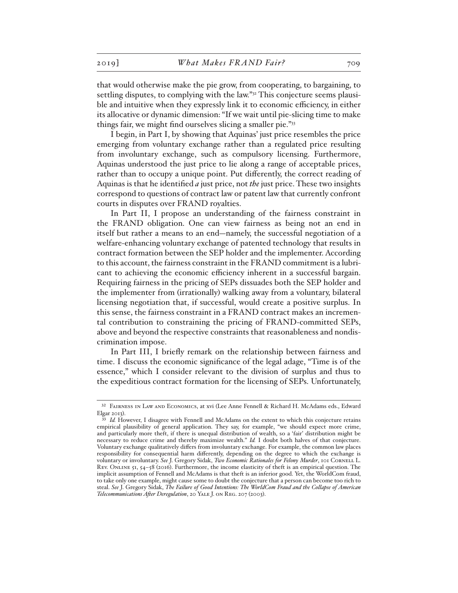that would otherwise make the pie grow, from cooperating, to bargaining, to settling disputes, to complying with the law."32 This conjecture seems plausible and intuitive when they expressly link it to economic efficiency, in either its allocative or dynamic dimension: "If we wait until pie-slicing time to make things fair, we might find ourselves slicing a smaller pie."33

I begin, in Part I, by showing that Aquinas' just price resembles the price emerging from voluntary exchange rather than a regulated price resulting from involuntary exchange, such as compulsory licensing. Furthermore, Aquinas understood the just price to lie along a range of acceptable prices, rather than to occupy a unique point. Put differently, the correct reading of Aquinas is that he identified *a* just price, not *the* just price. These two insights correspond to questions of contract law or patent law that currently confront courts in disputes over FRAND royalties.

In Part II, I propose an understanding of the fairness constraint in the FRAND obligation. One can view fairness as being not an end in itself but rather a means to an end—namely, the successful negotiation of a welfare-enhancing voluntary exchange of patented technology that results in contract formation between the SEP holder and the implementer. According to this account, the fairness constraint in the FRAND commitment is a lubricant to achieving the economic efficiency inherent in a successful bargain. Requiring fairness in the pricing of SEPs dissuades both the SEP holder and the implementer from (irrationally) walking away from a voluntary, bilateral licensing negotiation that, if successful, would create a positive surplus. In this sense, the fairness constraint in a FRAND contract makes an incremental contribution to constraining the pricing of FRAND-committed SEPs, above and beyond the respective constraints that reasonableness and nondiscrimination impose.

In Part III, I briefly remark on the relationship between fairness and time. I discuss the economic significance of the legal adage, "Time is of the essence," which I consider relevant to the division of surplus and thus to the expeditious contract formation for the licensing of SEPs. Unfortunately,

<sup>32</sup> Fairness in Law and Economics, at xvi (Lee Anne Fennell & Richard H. McAdams eds., Edward Elgar 2013).

<sup>&</sup>lt;sup>33</sup> Id. However, I disagree with Fennell and McAdams on the extent to which this conjecture retains empirical plausibility of general application. They say, for example, "we should expect more crime, and particularly more theft, if there is unequal distribution of wealth, so a 'fair' distribution might be necessary to reduce crime and thereby maximize wealth." *Id.* I doubt both halves of that conjecture. Voluntary exchange qualitatively differs from involuntary exchange. For example, the common law places responsibility for consequential harm differently, depending on the degree to which the exchange is voluntary or involuntary. *See* J. Gregory Sidak, *Two Economic Rationales for Felony Murder*, 101 Cornell L. Rev. Online 51, 54–58 (2016). Furthermore, the income elasticity of theft is an empirical question. The implicit assumption of Fennell and McAdams is that theft is an inferior good. Yet, the WorldCom fraud, to take only one example, might cause some to doubt the conjecture that a person can become too rich to steal. *See* J. Gregory Sidak, *The Failure of Good Intentions: The WorldCom Fraud and the Collapse of American Telecommunications After Deregulation*, 20 Yale J. on Reg. 207 (2003).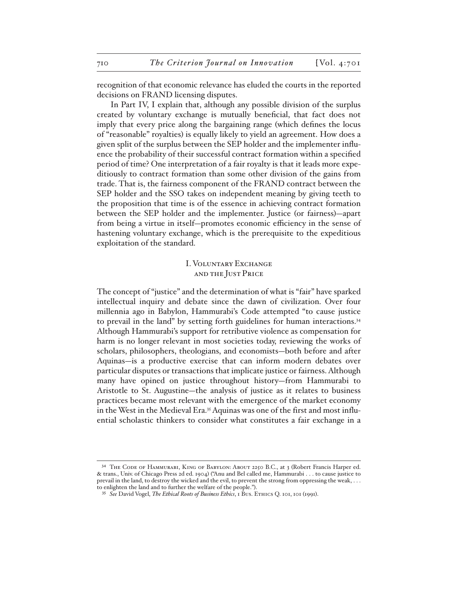recognition of that economic relevance has eluded the courts in the reported decisions on FRAND licensing disputes.

In Part IV, I explain that, although any possible division of the surplus created by voluntary exchange is mutually beneficial, that fact does not imply that every price along the bargaining range (which defines the locus of "reasonable" royalties) is equally likely to yield an agreement. How does a given split of the surplus between the SEP holder and the implementer influence the probability of their successful contract formation within a specified period of time? One interpretation of a fair royalty is that it leads more expeditiously to contract formation than some other division of the gains from trade. That is, the fairness component of the FRAND contract between the SEP holder and the SSO takes on independent meaning by giving teeth to the proposition that time is of the essence in achieving contract formation between the SEP holder and the implementer. Justice (or fairness)—apart from being a virtue in itself—promotes economic efficiency in the sense of hastening voluntary exchange, which is the prerequisite to the expeditious exploitation of the standard.

# I. Voluntary Exchange and the Just Price

The concept of "justice" and the determination of what is "fair" have sparked intellectual inquiry and debate since the dawn of civilization. Over four millennia ago in Babylon, Hammurabi's Code attempted "to cause justice to prevail in the land" by setting forth guidelines for human interactions.<sup>34</sup> Although Hammurabi's support for retributive violence as compensation for harm is no longer relevant in most societies today, reviewing the works of scholars, philosophers, theologians, and economists—both before and after Aquinas—is a productive exercise that can inform modern debates over particular disputes or transactions that implicate justice or fairness. Although many have opined on justice throughout history—from Hammurabi to Aristotle to St. Augustine—the analysis of justice as it relates to business practices became most relevant with the emergence of the market economy in the West in the Medieval Era.<sup>35</sup> Aquinas was one of the first and most influential scholastic thinkers to consider what constitutes a fair exchange in a

<sup>34</sup> THE CODE OF HAMMURABI, KING OF BABYLON: ABOUT 2250 B.C., at 3 (Robert Francis Harper ed. & trans., Univ. of Chicago Press 2d ed. 1904) ("Anu and Bel called me, Hammurabi . . . to cause justice to prevail in the land, to destroy the wicked and the evil, to prevent the strong from oppressing the weak, . . . to enlighten the land and to further the welfare of the people.").

<sup>35</sup> *See* David Vogel, *The Ethical Roots of Business Ethics*, 1 Bus. Ethics Q. 101, 101 (1991).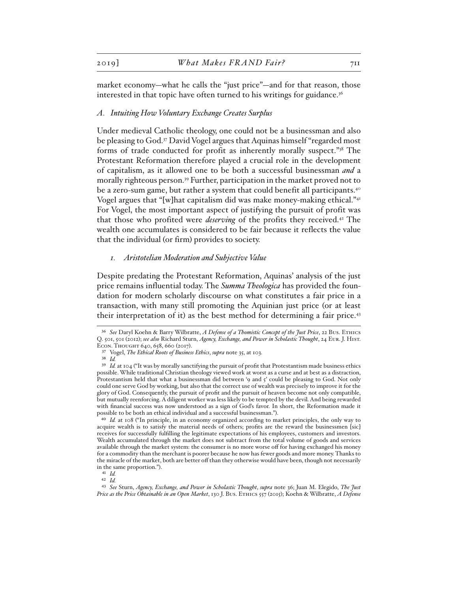market economy—what he calls the "just price"—and for that reason, those interested in that topic have often turned to his writings for guidance.<sup>36</sup>

#### *A. Intuiting How Voluntary Exchange Creates Surplus*

Under medieval Catholic theology, one could not be a businessman and also be pleasing to God.37 David Vogel argues that Aquinas himself "regarded most forms of trade conducted for profit as inherently morally suspect."38 The Protestant Reformation therefore played a crucial role in the development of capitalism, as it allowed one to be both a successful businessman *and* a morally righteous person.39 Further, participation in the market proved not to be a zero-sum game, but rather a system that could benefit all participants.<sup>40</sup> Vogel argues that "[w]hat capitalism did was make money-making ethical."41 For Vogel, the most important aspect of justifying the pursuit of profit was that those who profited were *deserving* of the profits they received.42 The wealth one accumulates is considered to be fair because it reflects the value that the individual (or firm) provides to society.

#### *1. Aristotelian Moderation and Subjective Value*

Despite predating the Protestant Reformation, Aquinas' analysis of the just price remains influential today. The *Summa Theologica* has provided the foundation for modern scholarly discourse on what constitutes a fair price in a transaction, with many still promoting the Aquinian just price (or at least their interpretation of it) as the best method for determining a fair price.43

41 *Id.* 42 *Id.*

<sup>36</sup> *See* Daryl Koehn & Barry Wilbratte, *A Defense of a Thomistic Concept of the Just Price*, 22 Bus. Ethics Q. 501, 501 (2012); *see also* Richard Sturn, *Agency, Exchange, and Power in Scholastic Thought*, 24 Eur. J. Hist. Econ. Thought 640, 658, 660 (2017).

<sup>37</sup> Vogel, *The Ethical Roots of Business Ethics*, *supra* note 35, at 103.

<sup>38</sup> *Id.*

<sup>&</sup>lt;sup>39</sup> *Id.* at 104 ("It was by morally sanctifying the pursuit of profit that Protestantism made business ethics possible. While traditional Christian theology viewed work at worst as a curse and at best as a distraction, Protestantism held that what a businessman did between '9 and 5' could be pleasing to God. Not only could one serve God by working, but also that the correct use of wealth was precisely to improve it for the glory of God. Consequently, the pursuit of profit and the pursuit of heaven become not only compatible, but mutually reenforcing. A diligent worker was less likely to be tempted by the devil. And being rewarded with financial success was now understood as a sign of God's favor. In short, the Reformation made it possible to be both an ethical individual and a successful businessman.").

<sup>40</sup> *Id.* at 108 ("In principle, in an economy organized according to market principles, the only way to acquire wealth is to satisfy the material needs of others; profits are the reward the businessmen [sic] receives for successfully fulfilling the legitimate expectations of his employees, customers and investors. Wealth accumulated through the market does not subtract from the total volume of goods and services available through the market system: the consumer is no more worse off for having exchanged his money for a commodity than the merchant is poorer because he now has fewer goods and more money. Thanks to the miracle of the market, both are better off than they otherwise would have been, though not necessarily in the same proportion.").

<sup>43</sup> *See* Sturn, *Agency, Exchange, and Power in Scholastic Thought*, *supra* note 36; Juan M. Elegido, *The Just Price as the Price Obtainable in an Open Market*, 130 J. Bus. Ethics 557 (2015); Koehn & Wilbratte, *A Defense*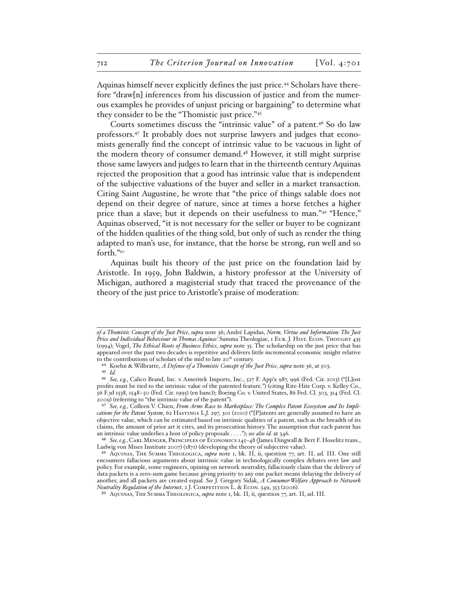Aquinas himself never explicitly defines the just price.44 Scholars have therefore "draw[n] inferences from his discussion of justice and from the numerous examples he provides of unjust pricing or bargaining" to determine what they consider to be the "Thomistic just price."45

Courts sometimes discuss the "intrinsic value" of a patent.<sup>46</sup> So do law professors.47 It probably does not surprise lawyers and judges that economists generally find the concept of intrinsic value to be vacuous in light of the modern theory of consumer demand.48 However, it still might surprise those same lawyers and judges to learn that in the thirteenth century Aquinas rejected the proposition that a good has intrinsic value that is independent of the subjective valuations of the buyer and seller in a market transaction. Citing Saint Augustine, he wrote that "the price of things salable does not depend on their degree of nature, since at times a horse fetches a higher price than a slave; but it depends on their usefulness to man."49 "Hence," Aquinas observed, "it is not necessary for the seller or buyer to be cognizant of the hidden qualities of the thing sold, but only of such as render the thing adapted to man's use, for instance, that the horse be strong, run well and so forth."50

Aquinas built his theory of the just price on the foundation laid by Aristotle. In 1959, John Baldwin, a history professor at the University of Michigan, authored a magisterial study that traced the provenance of the theory of the just price to Aristotle's praise of moderation:

*of a Thomistic Concept of the Just Price*, *supra* note 36; André Lapidus, *Norm, Virtue and Information: The Just*  Price and Individual Behaviour in Thomas Aquinas' Summa Theologiae, 1 EUR. J. HIST. ECON. THOUGHT 435 (1994); Vogel, *The Ethical Roots of Business Ethics*, *supra* note 35. The scholarship on the just price that has appeared over the past two decades is repetitive and delivers little incremental economic insight relative to the contributions of scholars of the mid to late 20<sup>th</sup> century.

<sup>44</sup> Koehn & Wilbratte, *A Defense of a Thomistic Concept of the Just Price*, *supra* note 36, at 503.

<sup>45</sup> *Id.*

<sup>46</sup> *See, e.g.*, Calico Brand, Inc. v. Ameritek Imports, Inc., 527 F. App'x 987, 996 (Fed. Cir. 2013) ("[L]ost profits must be tied to the intrinsic value of the patented feature.") (citing Rite-Hite Corp. v. Kelley Co., 56 F.3d 1538, 1548–50 (Fed. Cir. 1995) (en banc)); Boeing Co. v. United States, 86 Fed. Cl. 303, 314 (Fed. Cl. 2009) (referring to "the intrinsic value of the patent").

<sup>47</sup> *See, e.g.*, Colleen V. Chien, *From Arms Race to Marketplace: The Complex Patent Ecosystem and Its Implications for the Patent System*, 62 Hastings L.J. 297, 301 (2010) ("[P]atents are generally assumed to have an objective value, which can be estimated based on intrinsic qualities of a patent, such as the breadth of its claims, the amount of prior art it cites, and its prosecution history. The assumption that each patent has an intrinsic value underlies a host of policy proposals . . . ."); *see also id.* at 346.

<sup>48</sup> *See, e.g.*, Carl Menger, Principles of Economics 145–48 (James Dingwall & Bert F. Hoselitz trans., Ludwig von Mises Institute 2007) (1871) (developing the theory of subjective value).

<sup>49</sup> Aquinas, The Summa Theologica, *supra* note 1, bk. II, ii, question 77, art. II, ad. III. One still encounters fallacious arguments about intrinsic value in technologically complex debates over law and policy. For example, some engineers, opining on network neutrality, fallaciously claim that the delivery of data packets is a zero-sum game because giving priority to any one packet means delaying the delivery of another, and all packets are created equal. *See* J. Gregory Sidak, *A Consumer-Welfare Approach to Network Neutrality Regulation of the Internet*, 2 J. COMPETITION L. & ECON. 349, 353 (2006).

<sup>50</sup> Aquinas, The Summa Theologica, *supra* note 1, bk. II, ii, question 77, art. II, ad. III.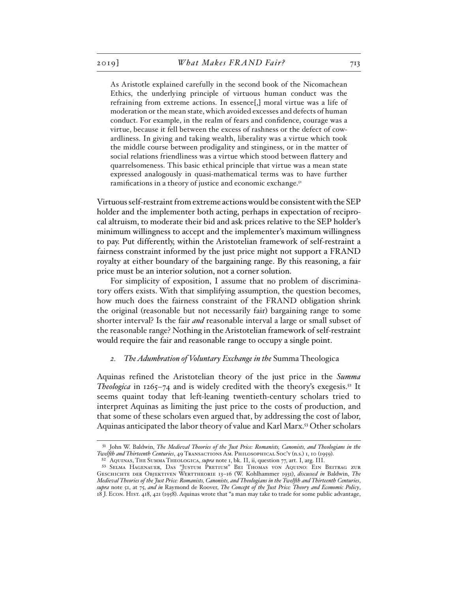As Aristotle explained carefully in the second book of the Nicomachean Ethics, the underlying principle of virtuous human conduct was the refraining from extreme actions. In essence[,] moral virtue was a life of moderation or the mean state, which avoided excesses and defects of human conduct. For example, in the realm of fears and confidence, courage was a virtue, because it fell between the excess of rashness or the defect of cowardliness. In giving and taking wealth, liberality was a virtue which took the middle course between prodigality and stinginess, or in the matter of social relations friendliness was a virtue which stood between flattery and quarrelsomeness. This basic ethical principle that virtue was a mean state expressed analogously in quasi-mathematical terms was to have further ramifications in a theory of justice and economic exchange.<sup>51</sup>

Virtuous self-restraint from extreme actions would be consistent with the SEP holder and the implementer both acting, perhaps in expectation of reciprocal altruism, to moderate their bid and ask prices relative to the SEP holder's minimum willingness to accept and the implementer's maximum willingness to pay. Put differently, within the Aristotelian framework of self-restraint a fairness constraint informed by the just price might not support a FRAND royalty at either boundary of the bargaining range. By this reasoning, a fair price must be an interior solution, not a corner solution.

For simplicity of exposition, I assume that no problem of discriminatory offers exists. With that simplifying assumption, the question becomes, how much does the fairness constraint of the FRAND obligation shrink the original (reasonable but not necessarily fair) bargaining range to some shorter interval? Is the fair *and* reasonable interval a large or small subset of the reasonable range? Nothing in the Aristotelian framework of self-restraint would require the fair and reasonable range to occupy a single point.

#### *2. The Adumbration of Voluntary Exchange in the* Summa Theologica

Aquinas refined the Aristotelian theory of the just price in the *Summa Theologica* in  $1265-74$  and is widely credited with the theory's exegesis.<sup>52</sup> It seems quaint today that left-leaning twentieth-century scholars tried to interpret Aquinas as limiting the just price to the costs of production, and that some of these scholars even argued that, by addressing the cost of labor, Aquinas anticipated the labor theory of value and Karl Marx.53 Other scholars

<sup>51</sup> John W. Baldwin, *The Medieval Theories of the Just Price: Romanists, Canonists, and Theologians in the Twelfth and Thirteenth Centuries*, 49 Transactions Am. Philosophical Soc'y (n.s.) 1, 10 (1959).

<sup>52</sup> Aquinas, The Summa Theologica, *supra* note 1, bk. II, ii, question 77, art. I, arg. III.

<sup>53</sup> Selma Hagenauer, Das "Justum Pretium" Bei Thomas von Aquino: Ein Beitrag zur Geschichte der Objektiven Werttheorie 13–16 (W. Kohlhammer 1931), *discussed in* Baldwin, *The Medieval Theories of the Just Price: Romanists, Canonists, and Theologians in the Twelfth and Thirteenth Centuries*, *supra* note 51, at 75, *and in* Raymond de Roover, *The Concept of the Just Price: Theory and Economic Policy*, 18 J. Econ. Hist. 418, 421 (1958). Aquinas wrote that "a man may take to trade for some public advantage,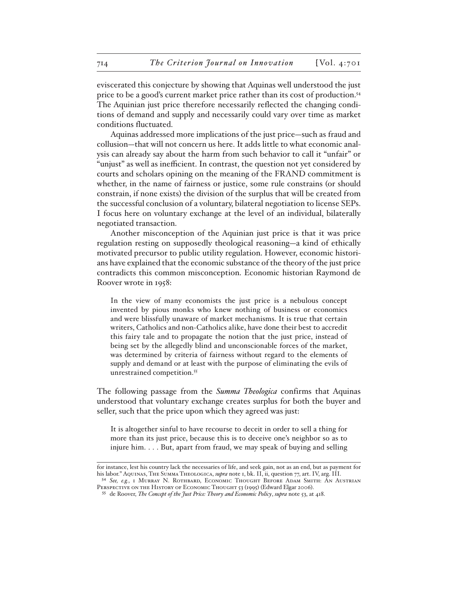eviscerated this conjecture by showing that Aquinas well understood the just price to be a good's current market price rather than its cost of production.54 The Aquinian just price therefore necessarily reflected the changing conditions of demand and supply and necessarily could vary over time as market conditions fluctuated.

Aquinas addressed more implications of the just price—such as fraud and collusion—that will not concern us here. It adds little to what economic analysis can already say about the harm from such behavior to call it "unfair" or "unjust" as well as inefficient. In contrast, the question not yet considered by courts and scholars opining on the meaning of the FRAND commitment is whether, in the name of fairness or justice, some rule constrains (or should constrain, if none exists) the division of the surplus that will be created from the successful conclusion of a voluntary, bilateral negotiation to license SEPs. I focus here on voluntary exchange at the level of an individual, bilaterally negotiated transaction.

Another misconception of the Aquinian just price is that it was price regulation resting on supposedly theological reasoning—a kind of ethically motivated precursor to public utility regulation. However, economic historians have explained that the economic substance of the theory of the just price contradicts this common misconception. Economic historian Raymond de Roover wrote in 1958:

In the view of many economists the just price is a nebulous concept invented by pious monks who knew nothing of business or economics and were blissfully unaware of market mechanisms. It is true that certain writers, Catholics and non-Catholics alike, have done their best to accredit this fairy tale and to propagate the notion that the just price, instead of being set by the allegedly blind and unconscionable forces of the market, was determined by criteria of fairness without regard to the elements of supply and demand or at least with the purpose of eliminating the evils of unrestrained competition.<sup>55</sup>

The following passage from the *Summa Theologica* confirms that Aquinas understood that voluntary exchange creates surplus for both the buyer and seller, such that the price upon which they agreed was just:

It is altogether sinful to have recourse to deceit in order to sell a thing for more than its just price, because this is to deceive one's neighbor so as to injure him. . . . But, apart from fraud, we may speak of buying and selling

54 *See, e.g.*, 1 Murray N. Rothbard, Economic Thought Before Adam Smith: An Austrian PERSPECTIVE ON THE HISTORY OF ECONOMIC THOUGHT 53 (1995) (Edward Elgar 2006).

for instance, lest his country lack the necessaries of life, and seek gain, not as an end, but as payment for his labor." Aquinas, The Summa Theologica, *supra* note 1, bk. II, ii, question 77, art. IV, arg. III.

<sup>55</sup> de Roover, *The Concept of the Just Price: Theory and Economic Policy*, *supra* note 53, at 418.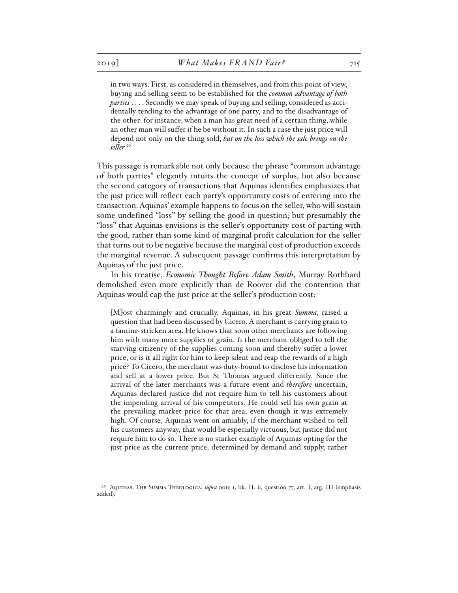in two ways. First, as considered in themselves, and from this point of view, buying and selling seem to be established for the *common advantage of both parties* . . . . Secondly we may speak of buying and selling, considered as accidentally tending to the advantage of one party, and to the disadvantage of the other: for instance, when a man has great need of a certain thing, while an other man will suffer if he be without it. In such a case the just price will depend not only on the thing sold, *but on the loss which the sale brings on the seller*. 56

This passage is remarkable not only because the phrase "common advantage of both parties" elegantly intuits the concept of surplus, but also because the second category of transactions that Aquinas identifies emphasizes that the just price will reflect each party's opportunity costs of entering into the transaction. Aquinas' example happens to focus on the seller, who will sustain some undefined "loss" by selling the good in question; but presumably the "loss" that Aquinas envisions is the seller's opportunity cost of parting with the good, rather than some kind of marginal profit calculation for the seller that turns out to be negative because the marginal cost of production exceeds the marginal revenue. A subsequent passage confirms this interpretation by Aquinas of the just price.

In his treatise, *Economic Thought Before Adam Smith*, Murray Rothbard demolished even more explicitly than de Roover did the contention that Aquinas would cap the just price at the seller's production cost:

[M]ost charmingly and crucially, Aquinas, in his great *Summa*, raised a question that had been discussed by Cicero. A merchant is carrying grain to a famine-stricken area. He knows that soon other merchants are following him with many more supplies of grain. *Is* the merchant obliged to tell the starving citizenry of the supplies coming soon and thereby suffer a lower price, or is it all right for him to keep silent and reap the rewards of a high price? To Cicero, the merchant was duty-bound to disclose his information and sell at a lower price. But St Thomas argued differently. Since the arrival of the later merchants was a future event and *therefore* uncertain, Aquinas declared justice did not require him to tell his customers about the impending arrival of his competitors. He could sell his own grain at the prevailing market price for that area, even though it was extremely high. Of course, Aquinas went on amiably, if the merchant wished to tell his customers anyway, that would be especially virtuous, but justice did not require him to do so. There is no starker example of Aquinas opting for the just price as the current price, determined by demand and supply, rather

<sup>56</sup> Aquinas, The Summa Theologica, *supra* note 1, bk. II, ii, question 77, art. I, arg. III (emphasis added).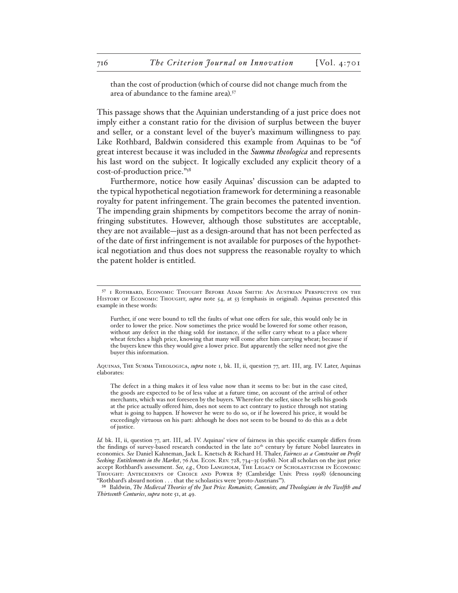than the cost of production (which of course did not change much from the area of abundance to the famine area).57

This passage shows that the Aquinian understanding of a just price does not imply either a constant ratio for the division of surplus between the buyer and seller, or a constant level of the buyer's maximum willingness to pay. Like Rothbard, Baldwin considered this example from Aquinas to be "of great interest because it was included in the *Summa theologica* and represents his last word on the subject. It logically excluded any explicit theory of a cost-of-production price."58

Furthermore, notice how easily Aquinas' discussion can be adapted to the typical hypothetical negotiation framework for determining a reasonable royalty for patent infringement. The grain becomes the patented invention. The impending grain shipments by competitors become the array of noninfringing substitutes. However, although those substitutes are acceptable, they are not available—just as a design-around that has not been perfected as of the date of first infringement is not available for purposes of the hypothetical negotiation and thus does not suppress the reasonable royalty to which the patent holder is entitled.

Further, if one were bound to tell the faults of what one offers for sale, this would only be in order to lower the price. Now sometimes the price would be lowered for some other reason, without any defect in the thing sold: for instance, if the seller carry wheat to a place where wheat fetches a high price, knowing that many will come after him carrying wheat; because if the buyers knew this they would give a lower price. But apparently the seller need not give the buyer this information.

Aquinas, The Summa Theologica, *supra* note 1, bk. II, ii, question 77, art. III, arg. IV. Later, Aquinas elaborates:

The defect in a thing makes it of less value now than it seems to be: but in the case cited, the goods are expected to be of less value at a future time, on account of the arrival of other merchants, which was not foreseen by the buyers. Wherefore the seller, since he sells his goods at the price actually offered him, does not seem to act contrary to justice through not stating what is going to happen. If however he were to do so, or if he lowered his price, it would be exceedingly virtuous on his part: although he does not seem to be bound to do this as a debt of justice.

58 Baldwin, *The Medieval Theories of the Just Price: Romanists, Canonists, and Theologians in the Twelfth and Thirteenth Centuries*, *supra* note 51, at 49.

<sup>57</sup> 1 Rothbard, Economic Thought Before Adam Smith: An Austrian Perspective on the HISTORY OF ECONOMIC THOUGHT, *supra* note 54, at 53 (emphasis in original). Aquinas presented this example in these words:

*Id.* bk. II, ii, question 77, art. III, ad. IV. Aquinas' view of fairness in this specific example differs from the findings of survey-based research conducted in the late 20<sup>th</sup> century by future Nobel laureates in economics. *See* Daniel Kahneman, Jack L. Knetsch & Richard H. Thaler, *Fairness as a Constraint on Profit Seeking: Entitlements in the Market*, 76 Am. Econ. Rev. 728, 734–35 (1986). Not all scholars on the just price accept Rothbard's assessment. See, e.g., ODD LANGHOLM, THE LEGACY OF SCHOLASTICISM IN ECONOMIC THOUGHT: ANTECEDENTS OF CHOICE AND POWER 87 (Cambridge Univ. Press 1998) (denouncing "Rothbard's absurd notion . . . that the scholastics were 'proto-Austrians'").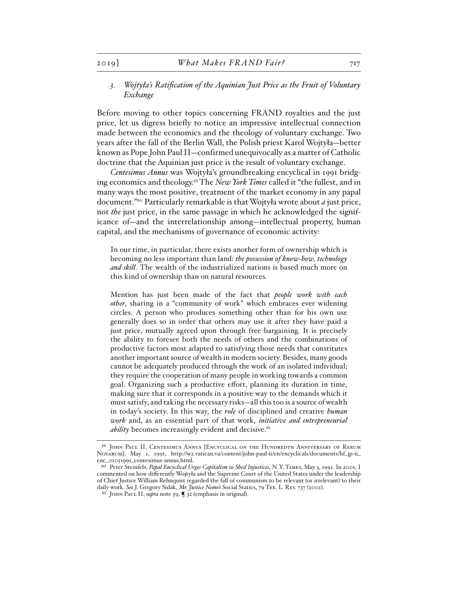# *3. Wojtyła's Ratification of the Aquinian Just Price as the Fruit of Voluntary Exchange*

Before moving to other topics concerning FRAND royalties and the just price, let us digress briefly to notice an impressive intellectual connection made between the economics and the theology of voluntary exchange. Two years after the fall of the Berlin Wall, the Polish priest Karol Wojtyła—better known as Pope John Paul II—confirmed unequivocally as a matter of Catholic doctrine that the Aquinian just price is the result of voluntary exchange.

*Centesimus Annus* was Wojtyła's groundbreaking encyclical in 1991 bridging economics and theology.59 The *New York Times* called it "the fullest, and in many ways the most positive, treatment of the market economy in any papal document."60 Particularly remarkable is that Wojtyła wrote about *a* just price, not *the* just price, in the same passage in which he acknowledged the significance of—and the interrelationship among—intellectual property, human capital, and the mechanisms of governance of economic activity:

In our time, in particular, there exists another form of ownership which is becoming no less important than land: *the possession of know-how, technology and skill*. The wealth of the industrialized nations is based much more on this kind of ownership than on natural resources.

Mention has just been made of the fact that *people work with each other*, sharing in a "community of work" which embraces ever widening circles. A person who produces something other than for his own use generally does so in order that others may use it after they have paid a just price, mutually agreed upon through free bargaining. It is precisely the ability to foresee both the needs of others and the combinations of productive factors most adapted to satisfying those needs that constitutes another important source of wealth in modern society. Besides, many goods cannot be adequately produced through the work of an isolated individual; they require the cooperation of many people in working towards a common goal. Organizing such a productive effort, planning its duration in time, making sure that it corresponds in a positive way to the demands which it must satisfy, and taking the necessary risks—all this too is a source of wealth in today's society. In this way, the *role* of disciplined and creative *human work* and, as an essential part of that work, *initiative and entrepreneurial ability* becomes increasingly evident and decisive.<sup>61</sup>

<sup>59</sup> John Paul II, Centesimus Annus [Encyclical on the Hundredth Anniversary of Rerum Novarum], May 1, 1991, http://w2.vatican.va/content/john-paul-ii/en/encyclicals/documents/hf\_jp-ii\_ enc\_01051991\_centesimus-annus.html.

<sup>60</sup> Peter Steinfels, *Papal Encyclical Urges Capitalism to Shed Injustices*, N.Y. Times, May 3, 1991. In 2001, I commented on how differently Wojtyła and the Supreme Court of the United States under the leadership of Chief Justice William Rehnquist regarded the fall of communism to be relevant (or irrelevant) to their daily work. *See* J. Gregory Sidak, *Mr. Justice Nemo's* Social Statics, 79 Tex. L. Rev. 737 (2001).

<sup>61</sup> John Paul II, *supra* note 59, ¶ 32 (emphasis in original).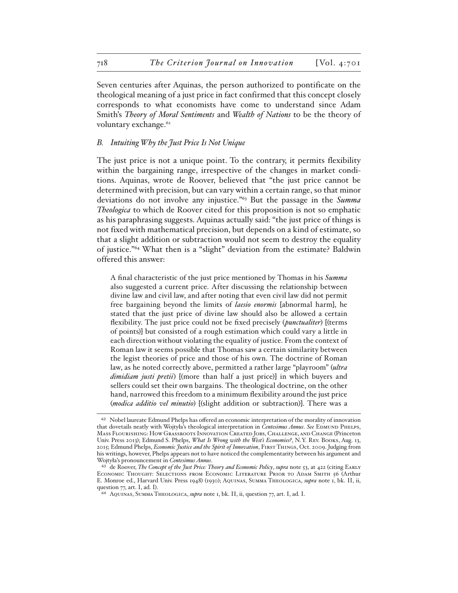Seven centuries after Aquinas, the person authorized to pontificate on the theological meaning of a just price in fact confirmed that this concept closely corresponds to what economists have come to understand since Adam Smith's *Theory of Moral Sentiments* and *Wealth of Nations* to be the theory of voluntary exchange.<sup>62</sup>

# *B. Intuiting Why the Just Price Is Not Unique*

The just price is not a unique point. To the contrary, it permits flexibility within the bargaining range, irrespective of the changes in market conditions. Aquinas, wrote de Roover, believed that "the just price cannot be determined with precision, but can vary within a certain range, so that minor deviations do not involve any injustice."63 But the passage in the *Summa Theologica* to which de Roover cited for this proposition is not so emphatic as his paraphrasing suggests. Aquinas actually said: "the just price of things is not fixed with mathematical precision, but depends on a kind of estimate, so that a slight addition or subtraction would not seem to destroy the equality of justice."64 What then is a "slight" deviation from the estimate? Baldwin offered this answer:

A final characteristic of the just price mentioned by Thomas in his *Summa* also suggested a current price. After discussing the relationship between divine law and civil law, and after noting that even civil law did not permit free bargaining beyond the limits of *laesio enormis* [abnormal harm], he stated that the just price of divine law should also be allowed a certain flexibility. The just price could not be fixed precisely (*punctualiter*) [(terms of points)] but consisted of a rough estimation which could vary a little in each direction without violating the equality of justice. From the context of Roman law it seems possible that Thomas saw a certain similarity between the legist theories of price and those of his own. The doctrine of Roman law, as he noted correctly above, permitted a rather large "playroom" (*ultra dimidiam justi pretii*) [(more than half a just price)] in which buyers and sellers could set their own bargains. The theological doctrine, on the other hand, narrowed this freedom to a minimum flexibility around the just price (*modica additio vel minutio*) [(slight addition or subtraction)]. There was a

<sup>62</sup> Nobel laureate Edmund Phelps has offered an economic interpretation of the morality of innovation that dovetails neatly with Wojtyła's theological interpretation in Centesimus Annus. See EDMUND PHELPS, Mass Flourishing: How Grassroots Innovation Created Jobs, Challenge, and Change (Princeton Univ. Press 2013); Edmund S. Phelps, *What Is Wrong with the West's Economies?*, N.Y. Rev. Books, Aug. 13, 2015; Edmund Phelps, *Economic Justice and the Spirit of Innovation*, First Things, Oct. 2009. Judging from his writings, however, Phelps appears not to have noticed the complementarity between his argument and Wojtyła's pronouncement in *Centesimus Annus*.

<sup>&</sup>lt;sup>63</sup> de Roover, *The Concept of the Just Price: Theory and Economic Policy*, *supra* note 53, at 422 (citing EARLY Economic Thought: Selections from Economic Literature Prior to Adam Smith 56 (Arthur E. Monroe ed., Harvard Univ. Press 1948) (1930); Aquinas, Summa Theologica, *supra* note 1, bk. II, ii, question 77, art. I, ad. I).

<sup>64</sup> Aquinas, Summa Theologica, *supra* note 1, bk. II, ii, question 77, art. I, ad. I.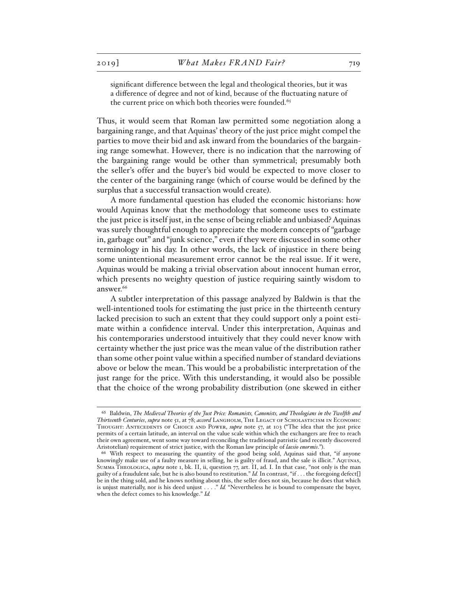significant difference between the legal and theological theories, but it was a difference of degree and not of kind, because of the fluctuating nature of the current price on which both theories were founded.<sup>65</sup>

Thus, it would seem that Roman law permitted some negotiation along a bargaining range, and that Aquinas' theory of the just price might compel the parties to move their bid and ask inward from the boundaries of the bargaining range somewhat. However, there is no indication that the narrowing of the bargaining range would be other than symmetrical; presumably both the seller's offer and the buyer's bid would be expected to move closer to the center of the bargaining range (which of course would be defined by the surplus that a successful transaction would create).

A more fundamental question has eluded the economic historians: how would Aquinas know that the methodology that someone uses to estimate the just price is itself just, in the sense of being reliable and unbiased? Aquinas was surely thoughtful enough to appreciate the modern concepts of "garbage in, garbage out" and "junk science," even if they were discussed in some other terminology in his day. In other words, the lack of injustice in there being some unintentional measurement error cannot be the real issue. If it were, Aquinas would be making a trivial observation about innocent human error, which presents no weighty question of justice requiring saintly wisdom to answer.<sup>66</sup>

A subtler interpretation of this passage analyzed by Baldwin is that the well-intentioned tools for estimating the just price in the thirteenth century lacked precision to such an extent that they could support only a point estimate within a confidence interval. Under this interpretation, Aquinas and his contemporaries understood intuitively that they could never know with certainty whether the just price was the mean value of the distribution rather than some other point value within a specified number of standard deviations above or below the mean. This would be a probabilistic interpretation of the just range for the price. With this understanding, it would also be possible that the choice of the wrong probability distribution (one skewed in either

<sup>65</sup> Baldwin, *The Medieval Theories of the Just Price: Romanists, Canonists, and Theologians in the Twelfth and Thirteenth Centuries*, *supra* note 51, at 78; *accord* Langholm, The Legacy of Scholasticism in Economic Thought: Antecedents of Choice and Power, *supra* note 57, at 103 ("The idea that the just price permits of a certain latitude, an interval on the value scale within which the exchangers are free to reach their own agreement, went some way toward reconciling the traditional patristic (and recently discovered Aristotelian) requirement of strict justice, with the Roman law principle of *laesio enormis*.").

<sup>66</sup> With respect to measuring the quantity of the good being sold, Aquinas said that, "if anyone knowingly make use of a faulty measure in selling, he is guilty of fraud, and the sale is illicit." Aquinas, Summa Theologica, *supra* note 1, bk. II, ii, question 77, art. II, ad. I. In that case, "not only is the man guilty of a fraudulent sale, but he is also bound to restitution." *Id.* In contrast, "if . . . the foregoing defect[] be in the thing sold, and he knows nothing about this, the seller does not sin, because he does that which is unjust materially, nor is his deed unjust . . . ." *Id.* "Nevertheless he is bound to compensate the buyer, when the defect comes to his knowledge." *Id.*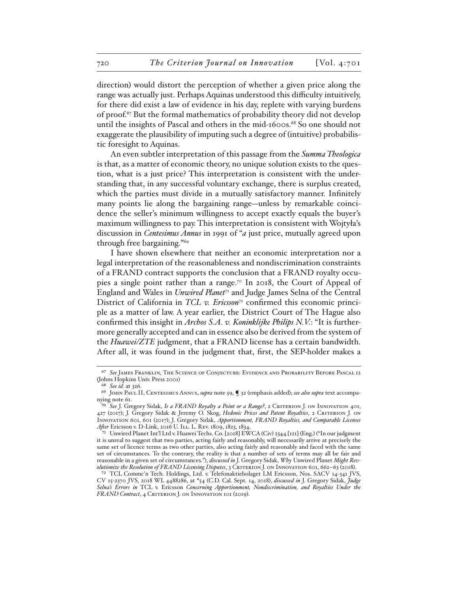direction) would distort the perception of whether a given price along the range was actually just. Perhaps Aquinas understood this difficulty intuitively, for there did exist a law of evidence in his day, replete with varying burdens of proof.67 But the formal mathematics of probability theory did not develop until the insights of Pascal and others in the mid-1600s.<sup>68</sup> So one should not exaggerate the plausibility of imputing such a degree of (intuitive) probabilistic foresight to Aquinas.

An even subtler interpretation of this passage from the *Summa Theologica* is that, as a matter of economic theory, no unique solution exists to the question, what is a just price? This interpretation is consistent with the understanding that, in any successful voluntary exchange, there is surplus created, which the parties must divide in a mutually satisfactory manner. Infinitely many points lie along the bargaining range—unless by remarkable coincidence the seller's minimum willingness to accept exactly equals the buyer's maximum willingness to pay. This interpretation is consistent with Wojtyła's discussion in *Centesimus Annus* in 1991 of "*a* just price, mutually agreed upon through free bargaining."69

I have shown elsewhere that neither an economic interpretation nor a legal interpretation of the reasonableness and nondiscrimination constraints of a FRAND contract supports the conclusion that a FRAND royalty occupies a single point rather than a range.<sup>70</sup> In 2018, the Court of Appeal of England and Wales in *Unwired Planet*71 and Judge James Selna of the Central District of California in *TCL v. Ericsson*<sup>2</sup> confirmed this economic principle as a matter of law. A year earlier, the District Court of The Hague also confirmed this insight in *Archos S.A. v. Koninklijke Philips N.V.*: "It is furthermore generally accepted and can in essence also be derived from the system of the *Huawei/ZTE* judgment, that a FRAND license has a certain bandwidth. After all, it was found in the judgment that, first, the SEP-holder makes a

<sup>67</sup> *See* James Franklin, The Science of Conjecture: Evidence and Probability Before Pascal 12 (Johns Hopkins Univ. Press 2001)

<sup>68</sup> *See id.* at 326.

<sup>69</sup> John Paul II, Centesimus Annus, *supra* note 59, ¶ 32 (emphasis added); *see also supra* text accompanying note 61.

<sup>70</sup> *See* J. Gregory Sidak, *Is a FRAND Royalty a Point or a Range?*, 2 Criterion J. on Innovation 401, 427 (2017); J. Gregory Sidak & Jeremy O. Skog, *Hedonic Prices and Patent Royalties*, 2 Criterion J. on Innovation 601, 601 (2017); J. Gregory Sidak, *Apportionment, FRAND Royalties, and Comparable Licenses*  After Ericsson v. D-Link, 2016 U. ILL. L. REV. 1809, 1823, 1834.

<sup>71</sup> Unwired Planet Int'l Ltd v. Huawei Techs. Co. [2018] EWCA (Civ) 2344 [121] (Eng.) ("In our judgment it is unreal to suggest that two parties, acting fairly and reasonably, will necessarily arrive at precisely the same set of licence terms as two other parties, also acting fairly and reasonably and faced with the same set of circumstances. To the contrary, the reality is that a number of sets of terms may all be fair and reasonable in a given set of circumstances."), *discussed in* J. Gregory Sidak, *Why* Unwired Planet *Might Revolutionize the Resolution of FRAND Licensing Disputes*, 3 CRITERION J. ON INNOVATION 601, 662-63 (2018).

<sup>72</sup> TCL Commc'n Tech. Holdings, Ltd. v. Telefonaktiebolaget LM Ericsson, Nos. SACV 14-341 JVS, CV 15-2370 JVS, 2018 WL 4488286, at \*54 (C.D. Cal. Sept. 14, 2018), *discussed in* J. Gregory Sidak, *Judge Selna's Errors in* TCL v. Ericsson *Concerning Apportionment, Nondiscrimination, and Royalties Under the*  FRAND Contract, 4 CRITERION J. ON INNOVATION 101 (2019).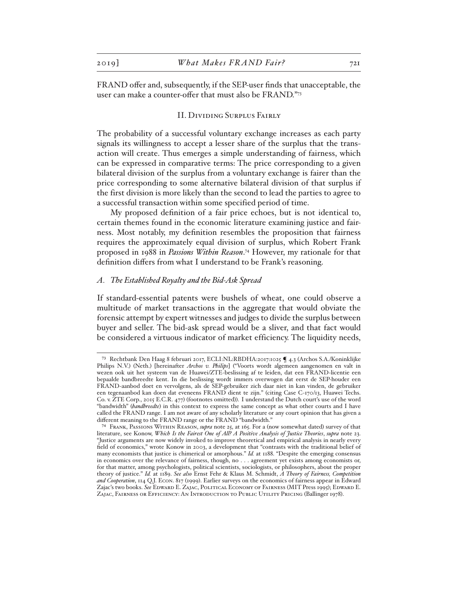FRAND offer and, subsequently, if the SEP-user finds that unacceptable, the user can make a counter-offer that must also be FRAND."73

#### II. Dividing Surplus Fairly

The probability of a successful voluntary exchange increases as each party signals its willingness to accept a lesser share of the surplus that the transaction will create. Thus emerges a simple understanding of fairness, which can be expressed in comparative terms: The price corresponding to a given bilateral division of the surplus from a voluntary exchange is fairer than the price corresponding to some alternative bilateral division of that surplus if the first division is more likely than the second to lead the parties to agree to a successful transaction within some specified period of time.

My proposed definition of a fair price echoes, but is not identical to, certain themes found in the economic literature examining justice and fairness. Most notably, my definition resembles the proposition that fairness requires the approximately equal division of surplus, which Robert Frank proposed in 1988 in *Passions Within Reason*. 74 However, my rationale for that definition differs from what I understand to be Frank's reasoning.

# *A. The Established Royalty and the Bid-Ask Spread*

If standard-essential patents were bushels of wheat, one could observe a multitude of market transactions in the aggregate that would obviate the forensic attempt by expert witnesses and judges to divide the surplus between buyer and seller. The bid-ask spread would be a sliver, and that fact would be considered a virtuous indicator of market efficiency. The liquidity needs,

<sup>73</sup> Rechtbank Den Haag 8 februari 2017, ECLI:NL:RBDHA:2017:1025 ¶ 4.3 (Archos S.A./Koninklijke Philips N.V.) (Neth.) [hereinafter *Archos v. Philips*] ("Voorts wordt algemeen aangenomen en valt in wezen ook uit het systeem van de Huawei/ZTE-beslissing af te leiden, dat een FRAND-licentie een bepaalde bandbreedte kent. In die beslissing wordt immers overwogen dat eerst de SEP-houder een FRAND-aanbod doet en vervolgens, als de SEP-gebruiker zich daar niet in kan vinden, de gebruiker een tegenaanbod kan doen dat eveneens FRAND dient te zijn." (citing Case C-170/13, Huawei Techs. Co. v. ZTE Corp., 2015 E.C.R. 477) (footnotes omitted)). I understand the Dutch court's use of the word "bandwidth" (*bandbreedte*) in this context to express the same concept as what other courts and I have called the FRAND range. I am not aware of any scholarly literature or any court opinion that has given a different meaning to the FRAND range or the FRAND "bandwidth."

<sup>74</sup> Frank, Passions Within Reason, *supra* note 25, at 165. For a (now somewhat dated) survey of that literature, see Konow, *Which Is the Fairest One of All? A Positive Analysis of Justice Theories*, *supra* note 23. "Justice arguments are now widely invoked to improve theoretical and empirical analysis in nearly every field of economics," wrote Konow in 2003, a development that "contrasts with the traditional belief of many economists that justice is chimerical or amorphous." *Id.* at 1188. "Despite the emerging consensus in economics over the relevance of fairness, though, no . . . agreement yet exists among economists or, for that matter, among psychologists, political scientists, sociologists, or philosophers, about the proper theory of justice." *Id.* at 1189. *See also* Ernst Fehr & Klaus M. Schmidt, *A Theory of Fairness, Competition and Cooperation*, 114 Q.J. Econ. 817 (1999). Earlier surveys on the economics of fairness appear in Edward Zajac's two books. *See* Edward E. Zajac, Political Economy of Fairness (MIT Press 1995); Edward E. Zajac, Fairness or Efficiency: An Introduction to Public Utility Pricing (Ballinger 1978).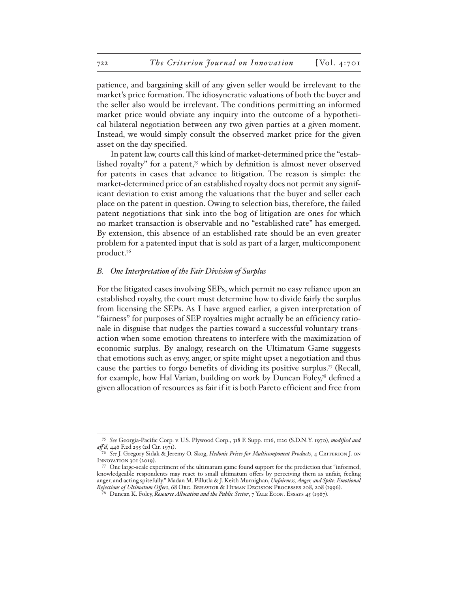patience, and bargaining skill of any given seller would be irrelevant to the market's price formation. The idiosyncratic valuations of both the buyer and the seller also would be irrelevant. The conditions permitting an informed market price would obviate any inquiry into the outcome of a hypothetical bilateral negotiation between any two given parties at a given moment. Instead, we would simply consult the observed market price for the given asset on the day specified.

In patent law, courts call this kind of market-determined price the "established royalty" for a patent,<sup>75</sup> which by definition is almost never observed for patents in cases that advance to litigation. The reason is simple: the market-determined price of an established royalty does not permit any significant deviation to exist among the valuations that the buyer and seller each place on the patent in question. Owing to selection bias, therefore, the failed patent negotiations that sink into the bog of litigation are ones for which no market transaction is observable and no "established rate" has emerged. By extension, this absence of an established rate should be an even greater problem for a patented input that is sold as part of a larger, multicomponent product.76

# *B. One Interpretation of the Fair Division of Surplus*

For the litigated cases involving SEPs, which permit no easy reliance upon an established royalty, the court must determine how to divide fairly the surplus from licensing the SEPs. As I have argued earlier, a given interpretation of "fairness" for purposes of SEP royalties might actually be an efficiency rationale in disguise that nudges the parties toward a successful voluntary transaction when some emotion threatens to interfere with the maximization of economic surplus. By analogy, research on the Ultimatum Game suggests that emotions such as envy, anger, or spite might upset a negotiation and thus cause the parties to forgo benefits of dividing its positive surplus.77 (Recall, for example, how Hal Varian, building on work by Duncan Foley,<sup>78</sup> defined a given allocation of resources as fair if it is both Pareto efficient and free from

<sup>75</sup> *See* Georgia-Pacific Corp. v. U.S. Plywood Corp., 318 F. Supp. 1116, 1120 (S.D.N.Y. 1970), *modified and aff 'd*, 446 F.2d 295 (2d Cir. 1971).

<sup>76</sup> *See* J. Gregory Sidak & Jeremy O. Skog, *Hedonic Prices for Multicomponent Products*, 4 Criterion J. on INNOVATION 301 (2019).

<sup>77</sup> One large-scale experiment of the ultimatum game found support for the prediction that "informed, knowledgeable respondents may react to small ultimatum offers by perceiving them as unfair, feeling anger, and acting spitefully." Madan M. Pillutla & J. Keith Murnighan, *Unfairness, Anger, and Spite: Emotional Rejections of Ultimatum Offers*, 68 Org. Behavior & Human Decision Processes 208, 208 (1996).

<sup>78</sup> Duncan K. Foley, *Resource Allocation and the Public Sector*, 7 Yale Econ. Essays 45 (1967).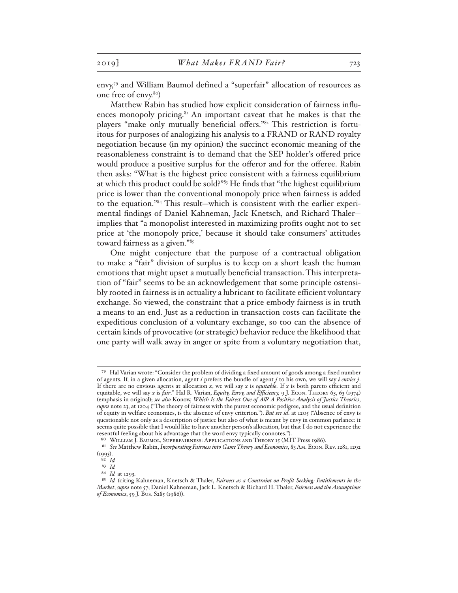envy,79 and William Baumol defined a "superfair" allocation of resources as one free of envy.80)

Matthew Rabin has studied how explicit consideration of fairness influences monopoly pricing.<sup>81</sup> An important caveat that he makes is that the players "make only mutually beneficial offers."82 This restriction is fortuitous for purposes of analogizing his analysis to a FRAND or RAND royalty negotiation because (in my opinion) the succinct economic meaning of the reasonableness constraint is to demand that the SEP holder's offered price would produce a positive surplus for the offeror and for the offeree. Rabin then asks: "What is the highest price consistent with a fairness equilibrium at which this product could be sold?"83 He finds that "the highest equilibrium price is lower than the conventional monopoly price when fairness is added to the equation."84 This result—which is consistent with the earlier experimental findings of Daniel Kahneman, Jack Knetsch, and Richard Thaler implies that "a monopolist interested in maximizing profits ought not to set price at 'the monopoly price,' because it should take consumers' attitudes toward fairness as a given."85

One might conjecture that the purpose of a contractual obligation to make a "fair" division of surplus is to keep on a short leash the human emotions that might upset a mutually beneficial transaction. This interpretation of "fair" seems to be an acknowledgement that some principle ostensibly rooted in fairness is in actuality a lubricant to facilitate efficient voluntary exchange. So viewed, the constraint that a price embody fairness is in truth a means to an end. Just as a reduction in transaction costs can facilitate the expeditious conclusion of a voluntary exchange, so too can the absence of certain kinds of provocative (or strategic) behavior reduce the likelihood that one party will walk away in anger or spite from a voluntary negotiation that,

<sup>79</sup> Hal Varian wrote: "Consider the problem of dividing a fixed amount of goods among a fixed number of agents. If, in a given allocation, agent *i* prefers the bundle of agent *j* to his own, we will say *i envies j*. If there are no envious agents at allocation *x*, we will say *x* is *equitable*. If *x* is both pareto efficient and equitable, we will say *x* is *fair*." Hal R. Varian, *Equity, Envy, and Efficiency,* 9 J. Econ. Theory 63, 63 (1974) (emphasis in original); *see also* Konow, *Which Is the Fairest One of All? A Positive Analysis of Justice Theories*, *supra* note 23, at 1204 ("The theory of fairness with the purest economic pedigree, and the usual definition of equity in welfare economics, is the absence of envy criterion."). *But see id*. at 1205 ("Absence of envy is questionable not only as a description of justice but also of what is meant by envy in common parlance: it seems quite possible that I would like to have another person's allocation, but that I do not experience the resentful feeling about his advantage that the word envy typically connotes.").

<sup>80</sup> WILLIAM J. BAUMOL, SUPERFAIRNESS: APPLICATIONS AND THEORY 15 (MIT Press 1986).

<sup>81</sup> *See* Matthew Rabin, *Incorporating Fairness into Game Theory and Economics*, 83 Am. Econ. Rev. 1281, 1292 (1993).

<sup>82</sup> *Id.*

<sup>83</sup> *Id.*

<sup>84</sup> *Id.* at 1293.

<sup>85</sup> *Id.* (citing Kahneman, Knetsch & Thaler, *Fairness as a Constraint on Profit Seeking: Entitlements in the Market*, *supra* note 57; Daniel Kahneman, Jack L. Knetsch & Richard H. Thaler, *Fairness and the Assumptions of Economics*, 59 J. Bus. S285 (1986)).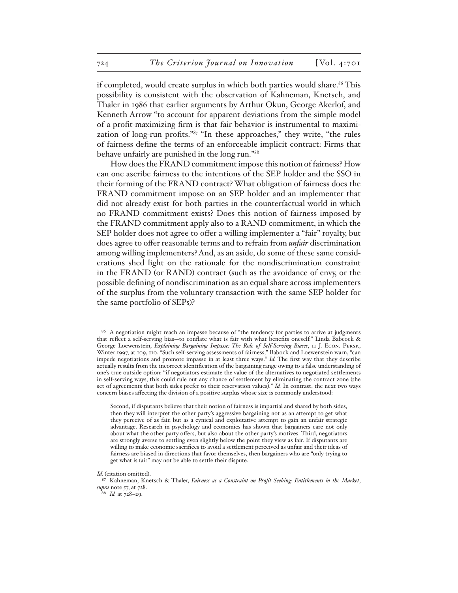if completed, would create surplus in which both parties would share.<sup>86</sup> This possibility is consistent with the observation of Kahneman, Knetsch, and Thaler in 1986 that earlier arguments by Arthur Okun, George Akerlof, and Kenneth Arrow "to account for apparent deviations from the simple model of a profit-maximizing firm is that fair behavior is instrumental to maximization of long-run profits."<sup>87</sup> "In these approaches," they write, "the rules of fairness define the terms of an enforceable implicit contract: Firms that behave unfairly are punished in the long run."88

How does the FRAND commitment impose this notion of fairness? How can one ascribe fairness to the intentions of the SEP holder and the SSO in their forming of the FRAND contract? What obligation of fairness does the FRAND commitment impose on an SEP holder and an implementer that did not already exist for both parties in the counterfactual world in which no FRAND commitment exists? Does this notion of fairness imposed by the FRAND commitment apply also to a RAND commitment, in which the SEP holder does not agree to offer a willing implementer a "fair" royalty, but does agree to offer reasonable terms and to refrain from *unfair* discrimination among willing implementers? And, as an aside, do some of these same considerations shed light on the rationale for the nondiscrimination constraint in the FRAND (or RAND) contract (such as the avoidance of envy, or the possible defining of nondiscrimination as an equal share across implementers of the surplus from the voluntary transaction with the same SEP holder for the same portfolio of SEPs)?

<sup>&</sup>lt;sup>86</sup> A negotiation might reach an impasse because of "the tendency for parties to arrive at judgments that reflect a self-serving bias—to conflate what is fair with what benefits oneself." Linda Babcock & George Loewenstein, *Explaining Bargaining Impasse: The Role of Self-Serving Biases*, 11 J. Econ. Persp., Winter 1997, at 109, 110. "Such self-serving assessments of fairness," Babock and Loewenstein warn, "can impede negotiations and promote impasse in at least three ways." *Id.* The first way that they describe actually results from the incorrect identification of the bargaining range owing to a false understanding of one's true outside option: "if negotiators estimate the value of the alternatives to negotiated settlements in self-serving ways, this could rule out any chance of settlement by eliminating the contract zone (the set of agreements that both sides prefer to their reservation values)." *Id.* In contrast, the next two ways concern biases affecting the division of a positive surplus whose size is commonly understood:

Second, if disputants believe that their notion of fairness is impartial and shared by both sides, then they will interpret the other party's aggressive bargaining not as an attempt to get what they perceive of as fair, but as a cynical and exploitative attempt to gain an unfair strategic advantage. Research in psychology and economics has shown that bargainers care not only about what the other party offers, but also about the other party's motives. Third, negotiators are strongly averse to settling even slightly below the point they view as fair. If disputants are willing to make economic sacrifices to avoid a settlement perceived as unfair and their ideas of fairness are biased in directions that favor themselves, then bargainers who are "only trying to get what is fair" may not be able to settle their dispute.

*Id.* (citation omitted).

<sup>87</sup> Kahneman, Knetsch & Thaler, *Fairness as a Constraint on Profit Seeking: Entitlements in the Market*, *supra* note 57, at 728.

<sup>88</sup> *Id.* at 728–29.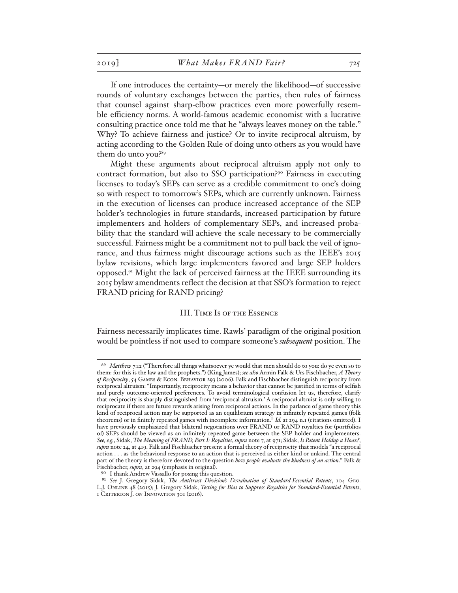If one introduces the certainty—or merely the likelihood—of successive rounds of voluntary exchanges between the parties, then rules of fairness that counsel against sharp-elbow practices even more powerfully resemble efficiency norms. A world-famous academic economist with a lucrative consulting practice once told me that he "always leaves money on the table." Why? To achieve fairness and justice? Or to invite reciprocal altruism, by acting according to the Golden Rule of doing unto others as you would have them do unto you?89

Might these arguments about reciprocal altruism apply not only to contract formation, but also to SSO participation?90 Fairness in executing licenses to today's SEPs can serve as a credible commitment to one's doing so with respect to tomorrow's SEPs, which are currently unknown. Fairness in the execution of licenses can produce increased acceptance of the SEP holder's technologies in future standards, increased participation by future implementers and holders of complementary SEPs, and increased probability that the standard will achieve the scale necessary to be commercially successful. Fairness might be a commitment not to pull back the veil of ignorance, and thus fairness might discourage actions such as the IEEE's 2015 bylaw revisions, which large implementers favored and large SEP holders opposed.91 Might the lack of perceived fairness at the IEEE surrounding its 2015 bylaw amendments reflect the decision at that SSO's formation to reject FRAND pricing for RAND pricing?

### III. Time Is of the Essence

Fairness necessarily implicates time. Rawls' paradigm of the original position would be pointless if not used to compare someone's *subsequent* position. The

<sup>89</sup> *Matthew* 7:12 ("Therefore all things whatsoever ye would that men should do to you: do ye even so to them: for this is the law and the prophets.") (King James); *see also* Armin Falk & Urs Fischbacher, *A Theory of Reciprocity*, 54 Games & Econ. Behavior 293 (2006). Falk and Fischbacher distinguish reciprocity from reciprocal altruism: "Importantly, reciprocity means a behavior that cannot be justified in terms of selfish and purely outcome-oriented preferences. To avoid terminological confusion let us, therefore, clarify that reciprocity is sharply distinguished from 'reciprocal altruism.' A reciprocal altruist is only willing to reciprocate if there are future rewards arising from reciprocal actions. In the parlance of game theory this kind of reciprocal action may be supported as an equilibrium strategy in infinitely repeated games (folk theorems) or in finitely repeated games with incomplete information." *Id.* at 294 n.1 (citations omitted). I have previously emphasized that bilateral negotiations over FRAND or RAND royalties for (portfolios of) SEPs should be viewed as an infinitely repeated game between the SEP holder and implementers. *See, e.g.*, Sidak, *The Meaning of FRAND, Part I: Royalties*, *supra* note 7, at 971; Sidak, *Is Patent Holdup a Hoax?*, *supra* note 24, at 419. Falk and Fischbacher present a formal theory of reciprocity that models "a reciprocal action . . . as the behavioral response to an action that is perceived as either kind or unkind. The central part of the theory is therefore devoted to the question *how people evaluate the kindness of an action*." Falk & Fischbacher, *supra*, at 294 (emphasis in original).

<sup>90</sup> I thank Andrew Vassallo for posing this question.

<sup>91</sup> *See* J. Gregory Sidak, *The Antitrust Division's Devaluation of Standard-Essential Patents*, 104 Geo. L.J. Online 48 (2015); J. Gregory Sidak, *Testing for Bias to Suppress Royalties for Standard-Essential Patents*, 1 Criterion J. on Innovation 301 (2016).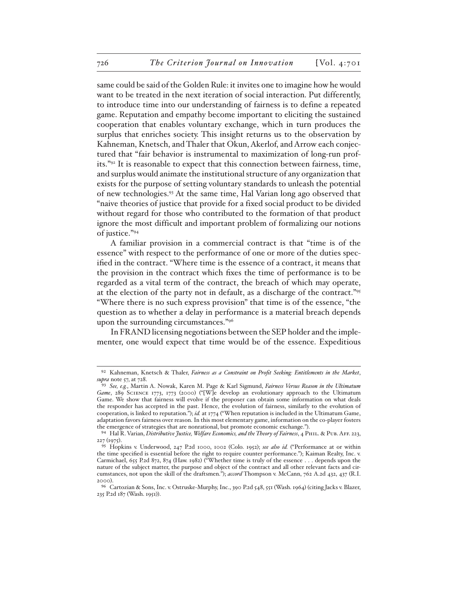same could be said of the Golden Rule: it invites one to imagine how he would want to be treated in the next iteration of social interaction. Put differently, to introduce time into our understanding of fairness is to define a repeated game. Reputation and empathy become important to eliciting the sustained cooperation that enables voluntary exchange, which in turn produces the surplus that enriches society. This insight returns us to the observation by Kahneman, Knetsch, and Thaler that Okun, Akerlof, and Arrow each conjectured that "fair behavior is instrumental to maximization of long-run profits."92 It is reasonable to expect that this connection between fairness, time, and surplus would animate the institutional structure of any organization that exists for the purpose of setting voluntary standards to unleash the potential of new technologies.93 At the same time, Hal Varian long ago observed that "naive theories of justice that provide for a fixed social product to be divided without regard for those who contributed to the formation of that product ignore the most difficult and important problem of formalizing our notions of justice."94

A familiar provision in a commercial contract is that "time is of the essence" with respect to the performance of one or more of the duties specified in the contract. "Where time is the essence of a contract, it means that the provision in the contract which fixes the time of performance is to be regarded as a vital term of the contract, the breach of which may operate, at the election of the party not in default, as a discharge of the contract."95 "Where there is no such express provision" that time is of the essence, "the question as to whether a delay in performance is a material breach depends upon the surrounding circumstances."96

In FRAND licensing negotiations between the SEP holder and the implementer, one would expect that time would be of the essence. Expeditious

<sup>92</sup> Kahneman, Knetsch & Thaler, *Fairness as a Constraint on Profit Seeking: Entitlements in the Market*, *supra* note 57, at 728.

<sup>93</sup> *See, e.g.*, Martin A. Nowak, Karen M. Page & Karl Sigmund, *Fairness Versus Reason in the Ultimatum Game*, 289 Science 1773, 1773 (2000) ("[W]e develop an evolutionary approach to the Ultimatum Game. We show that fairness will evolve if the proposer can obtain some information on what deals the responder has accepted in the past. Hence, the evolution of fairness, similarly to the evolution of cooperation, is linked to reputation."); *id.* at 1774 ("When reputation is included in the Ultimatum Game, adaptation favors fairness over reason. In this most elementary game, information on the co-player fosters the emergence of strategies that are nonrational, but promote economic exchange.").

<sup>94</sup> Hal R. Varian, *Distributive Justice, Welfare Economics, and the Theory of Fairness*, 4 Phil. & Pub. Aff. 223, 227 (1975).

<sup>95</sup> Hopkins v. Underwood, 247 P.2d 1000, 1002 (Colo. 1952); *see also id.* ("Performance at or within the time specified is essential before the right to require counter performance."); Kaiman Realty, Inc. v. Carmichael, 655 P.2d 872, 874 (Haw. 1982) ("Whether time is truly of the essence . . . depends upon the nature of the subject matter, the purpose and object of the contract and all other relevant facts and circumstances, not upon the skill of the draftsmen."); *accord* Thompson v. McCann, 762 A.2d 432, 437 (R.I. 2000).

<sup>96</sup> Cartozian & Sons, Inc. v. Ostruske-Murphy, Inc., 390 P.2d 548, 551 (Wash. 1964) (citing Jacks v. Blazer, 235 P.2d 187 (Wash. 1951)).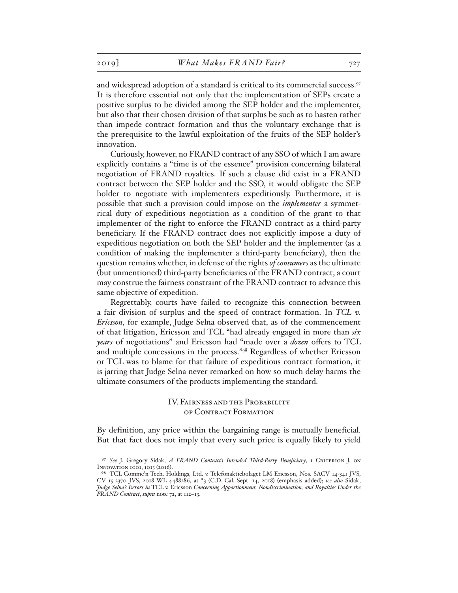and widespread adoption of a standard is critical to its commercial success.<sup>97</sup> It is therefore essential not only that the implementation of SEPs create a positive surplus to be divided among the SEP holder and the implementer, but also that their chosen division of that surplus be such as to hasten rather than impede contract formation and thus the voluntary exchange that is the prerequisite to the lawful exploitation of the fruits of the SEP holder's innovation.

Curiously, however, no FRAND contract of any SSO of which I am aware explicitly contains a "time is of the essence" provision concerning bilateral negotiation of FRAND royalties. If such a clause did exist in a FRAND contract between the SEP holder and the SSO, it would obligate the SEP holder to negotiate with implementers expeditiously. Furthermore, it is possible that such a provision could impose on the *implementer* a symmetrical duty of expeditious negotiation as a condition of the grant to that implementer of the right to enforce the FRAND contract as a third-party beneficiary. If the FRAND contract does not explicitly impose a duty of expeditious negotiation on both the SEP holder and the implementer (as a condition of making the implementer a third-party beneficiary), then the question remains whether, in defense of the rights *of consumers* as the ultimate (but unmentioned) third-party beneficiaries of the FRAND contract, a court may construe the fairness constraint of the FRAND contract to advance this same objective of expedition.

Regrettably, courts have failed to recognize this connection between a fair division of surplus and the speed of contract formation. In *TCL v. Ericsson*, for example, Judge Selna observed that, as of the commencement of that litigation, Ericsson and TCL "had already engaged in more than *six years* of negotiations" and Ericsson had "made over a *dozen* offers to TCL and multiple concessions in the process."98 Regardless of whether Ericsson or TCL was to blame for that failure of expeditious contract formation, it is jarring that Judge Selna never remarked on how so much delay harms the ultimate consumers of the products implementing the standard.

> IV. Fairness and the Probability of Contract Formation

By definition, any price within the bargaining range is mutually beneficial. But that fact does not imply that every such price is equally likely to yield

<sup>97</sup> *See* J. Gregory Sidak, *A FRAND Contract's Intended Third-Party Beneficiary*, 1 Criterion J. on Innovation 1001, 1013 (2016).

<sup>98</sup> TCL Commc'n Tech. Holdings, Ltd. v. Telefonaktiebolaget LM Ericsson, Nos. SACV 14-341 JVS, CV 15-2370 JVS, 2018 WL 4488286, at \*3 (C.D. Cal. Sept. 14, 2018) (emphasis added); *see also* Sidak, *Judge Selna's Errors in* TCL v. Ericsson *Concerning Apportionment, Nondiscrimination, and Royalties Under the FRAND Contract*, *supra* note 72, at 112–13.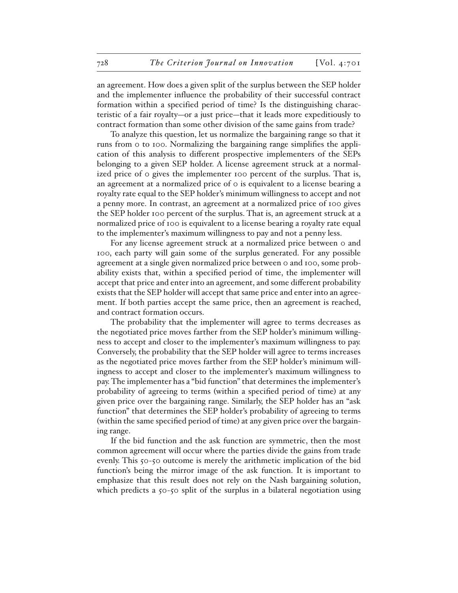an agreement. How does a given split of the surplus between the SEP holder and the implementer influence the probability of their successful contract formation within a specified period of time? Is the distinguishing characteristic of a fair royalty—or a just price—that it leads more expeditiously to contract formation than some other division of the same gains from trade?

To analyze this question, let us normalize the bargaining range so that it runs from 0 to 100. Normalizing the bargaining range simplifies the application of this analysis to different prospective implementers of the SEPs belonging to a given SEP holder. A license agreement struck at a normalized price of 0 gives the implementer 100 percent of the surplus. That is, an agreement at a normalized price of 0 is equivalent to a license bearing a royalty rate equal to the SEP holder's minimum willingness to accept and not a penny more. In contrast, an agreement at a normalized price of 100 gives the SEP holder 100 percent of the surplus. That is, an agreement struck at a normalized price of 100 is equivalent to a license bearing a royalty rate equal to the implementer's maximum willingness to pay and not a penny less.

For any license agreement struck at a normalized price between 0 and 100, each party will gain some of the surplus generated. For any possible agreement at a single given normalized price between 0 and 100, some probability exists that, within a specified period of time, the implementer will accept that price and enter into an agreement, and some different probability exists that the SEP holder will accept that same price and enter into an agreement. If both parties accept the same price, then an agreement is reached, and contract formation occurs.

The probability that the implementer will agree to terms decreases as the negotiated price moves farther from the SEP holder's minimum willingness to accept and closer to the implementer's maximum willingness to pay. Conversely, the probability that the SEP holder will agree to terms increases as the negotiated price moves farther from the SEP holder's minimum willingness to accept and closer to the implementer's maximum willingness to pay. The implementer has a "bid function" that determines the implementer's probability of agreeing to terms (within a specified period of time) at any given price over the bargaining range. Similarly, the SEP holder has an "ask function" that determines the SEP holder's probability of agreeing to terms (within the same specified period of time) at any given price over the bargaining range.

If the bid function and the ask function are symmetric, then the most common agreement will occur where the parties divide the gains from trade evenly. This 50-50 outcome is merely the arithmetic implication of the bid function's being the mirror image of the ask function. It is important to emphasize that this result does not rely on the Nash bargaining solution, which predicts a 50-50 split of the surplus in a bilateral negotiation using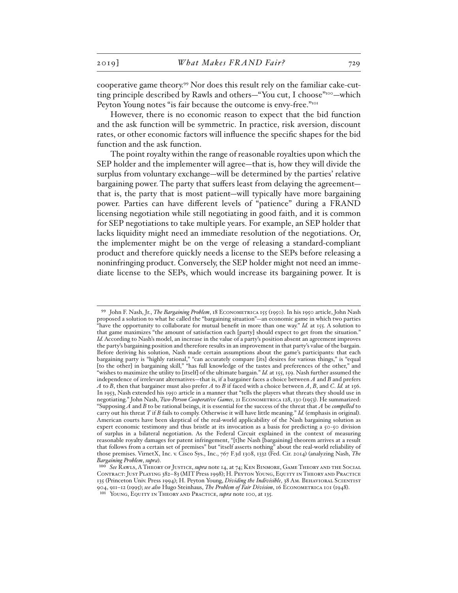cooperative game theory.99 Nor does this result rely on the familiar cake-cutting principle described by Rawls and others—"You cut, I choose"<sup>100</sup>—which Peyton Young notes "is fair because the outcome is envy-free."<sup>101</sup>

However, there is no economic reason to expect that the bid function and the ask function will be symmetric. In practice, risk aversion, discount rates, or other economic factors will influence the specific shapes for the bid function and the ask function.

The point royalty within the range of reasonable royalties upon which the SEP holder and the implementer will agree—that is, how they will divide the surplus from voluntary exchange—will be determined by the parties' relative bargaining power. The party that suffers least from delaying the agreement that is, the party that is most patient—will typically have more bargaining power. Parties can have different levels of "patience" during a FRAND licensing negotiation while still negotiating in good faith, and it is common for SEP negotiations to take multiple years. For example, an SEP holder that lacks liquidity might need an immediate resolution of the negotiations. Or, the implementer might be on the verge of releasing a standard-compliant product and therefore quickly needs a license to the SEPs before releasing a noninfringing product. Conversely, the SEP holder might not need an immediate license to the SEPs, which would increase its bargaining power. It is

<sup>99</sup> John F. Nash, Jr., *The Bargaining Problem*, 18 Econometrica 155 (1950). In his 1950 article, John Nash proposed a solution to what he called the "bargaining situation"—an economic game in which two parties "have the opportunity to collaborate for mutual benefit in more than one way." *Id.* at 155. A solution to that game maximizes "the amount of satisfaction each [party] should expect to get from the situation." *Id.* According to Nash's model, an increase in the value of a party's position absent an agreement improves the party's bargaining position and therefore results in an improvement in that party's value of the bargain. Before deriving his solution, Nash made certain assumptions about the game's participants: that each bargaining party is "highly rational," "can accurately compare [its] desires for various things," is "equal [to the other] in bargaining skill," "has full knowledge of the tastes and preferences of the other," and "wishes to maximize the utility to [itself] of the ultimate bargain." *Id.* at 155, 159. Nash further assumed the independence of irrelevant alternatives—that is, if a bargainer faces a choice between *A* and *B* and prefers *A* to *B*, then that bargainer must also prefer *A* to *B* if faced with a choice between *A*, *B*, and *C*. *Id.* at 156. In 1953, Nash extended his 1950 article in a manner that "tells the players what threats they should use in negotiating." John Nash, *Two-Person Cooperative Games*, 21 Econometrica 128, 130 (1953). He summarized: "Supposing *A* and *B* to be rational beings, it is essential for the success of the threat that *A* be *compelled* to carry out his threat *T* if *B* fails to comply. Otherwise it will have little meaning." *Id.* (emphasis in original). American courts have been skeptical of the real-world applicability of the Nash bargaining solution as expert economic testimony and thus bristle at its invocation as a basis for predicting a 50-50 division of surplus in a bilateral negotiation. As the Federal Circuit explained in the context of measuring reasonable royalty damages for patent infringement, "[t]he Nash [bargaining] theorem arrives at a result that follows from a certain set of premises" but "itself asserts nothing" about the real-world reliability of those premises. VirnetX, Inc. v. Cisco Sys., Inc., 767 F.3d 1308, 1332 (Fed. Cir. 2014) (analyzing Nash, *The Bargaining Problem*, *supra*).

<sup>100</sup> *See* Rawls, A Theory of Justice, *supra* note 14, at 74; Ken Binmore, Game Theory and the Social Contract: Just Playing 382–83 (MIT Press 1998); H. Peyton Young, Equity in Theory and Practice 135 (Princeton Univ. Press 1994); H. Peyton Young, *Dividing the Indivisible*, 38 Am. BEHAVIORAL SCIENTIST 904, 911–12 (1995); *see also* Hugo Steinhaus, *The Problem of Fair Division*, 16 Econometrica 101 (1948).

<sup>101</sup> Young, Equity in Theory and Practice, *supra* note 100, at 135.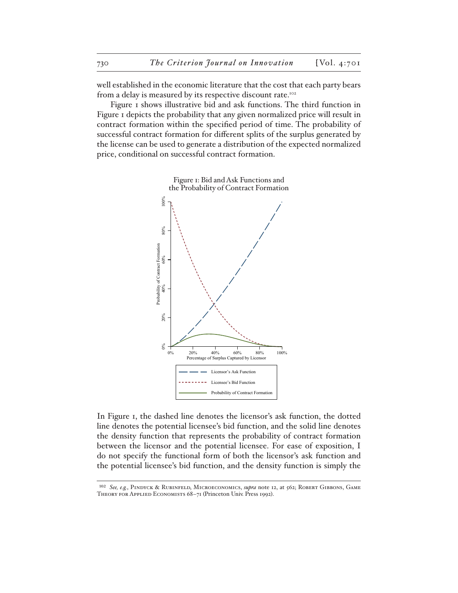well established in the economic literature that the cost that each party bears from a delay is measured by its respective discount rate.<sup>102</sup>

Figure 1 shows illustrative bid and ask functions. The third function in Figure 1 depicts the probability that any given normalized price will result in contract formation within the specified period of time. The probability of successful contract formation for different splits of the surplus generated by the license can be used to generate a distribution of the expected normalized price, conditional on successful contract formation.



In Figure 1, the dashed line denotes the licensor's ask function, the dotted line denotes the potential licensee's bid function, and the solid line denotes the density function that represents the probability of contract formation between the licensor and the potential licensee. For ease of exposition, I do not specify the functional form of both the licensor's ask function and the potential licensee's bid function, and the density function is simply the

<sup>102</sup> *See, e.g.*, Pindyck & Rubinfeld, Microeconomics, *supra* note 12, at 562; Robert Gibbons, Game THEORY FOR APPLIED ECONOMISTS 68-71 (Princeton Univ. Press 1992).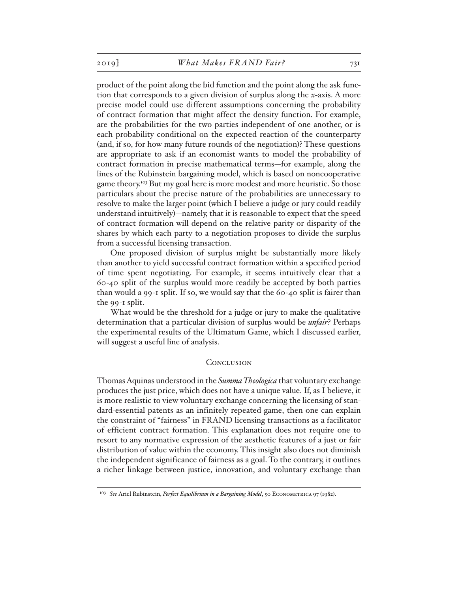product of the point along the bid function and the point along the ask function that corresponds to a given division of surplus along the *x*-axis. A more precise model could use different assumptions concerning the probability of contract formation that might affect the density function. For example, are the probabilities for the two parties independent of one another, or is each probability conditional on the expected reaction of the counterparty (and, if so, for how many future rounds of the negotiation)? These questions are appropriate to ask if an economist wants to model the probability of contract formation in precise mathematical terms—for example, along the lines of the Rubinstein bargaining model, which is based on noncooperative game theory.103 But my goal here is more modest and more heuristic. So those particulars about the precise nature of the probabilities are unnecessary to resolve to make the larger point (which I believe a judge or jury could readily understand intuitively)—namely, that it is reasonable to expect that the speed of contract formation will depend on the relative parity or disparity of the shares by which each party to a negotiation proposes to divide the surplus from a successful licensing transaction.

One proposed division of surplus might be substantially more likely than another to yield successful contract formation within a specified period of time spent negotiating. For example, it seems intuitively clear that a 60-40 split of the surplus would more readily be accepted by both parties than would a 99-1 split. If so, we would say that the 60-40 split is fairer than the 99-1 split.

What would be the threshold for a judge or jury to make the qualitative determination that a particular division of surplus would be *unfair*? Perhaps the experimental results of the Ultimatum Game, which I discussed earlier, will suggest a useful line of analysis.

#### **CONCLUSION**

Thomas Aquinas understood in the *Summa Theologica* that voluntary exchange produces the just price, which does not have a unique value. If, as I believe, it is more realistic to view voluntary exchange concerning the licensing of standard-essential patents as an infinitely repeated game, then one can explain the constraint of "fairness" in FRAND licensing transactions as a facilitator of efficient contract formation. This explanation does not require one to resort to any normative expression of the aesthetic features of a just or fair distribution of value within the economy. This insight also does not diminish the independent significance of fairness as a goal. To the contrary, it outlines a richer linkage between justice, innovation, and voluntary exchange than

<sup>&</sup>lt;sup>103</sup> See Ariel Rubinstein, *Perfect Equilibrium in a Bargaining Model*, 50 ECONOMETRICA 97 (1982).